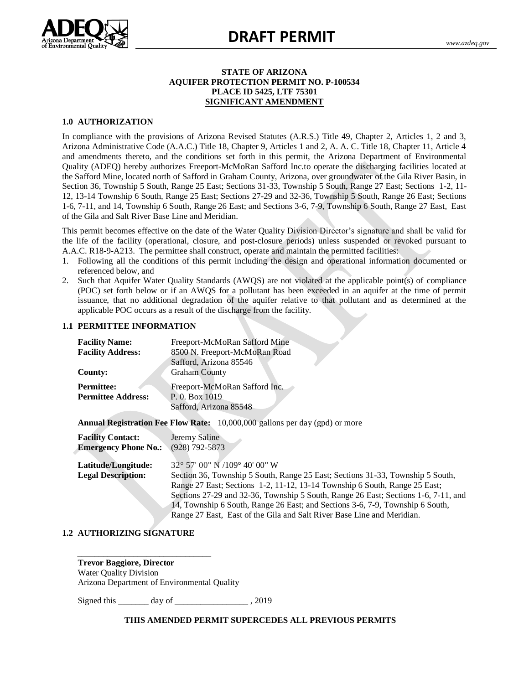

# **DRAFT PERMIT**

#### **STATE OF ARIZONA AQUIFER PROTECTION PERMIT NO. P-100534 PLACE ID 5425, LTF 75301 SIGNIFICANT AMENDMENT**

#### **1.0 AUTHORIZATION**

In compliance with the provisions of Arizona Revised Statutes (A.R.S.) Title 49, Chapter 2, Articles 1, 2 and 3, Arizona Administrative Code (A.A.C.) Title 18, Chapter 9, Articles 1 and 2, A. A. C. Title 18, Chapter 11, Article 4 and amendments thereto, and the conditions set forth in this permit, the Arizona Department of Environmental Quality (ADEQ) hereby authorizes Freeport-McMoRan Safford Inc.to operate the discharging facilities located at the Safford Mine, located north of Safford in Graham County, Arizona, over groundwater of the Gila River Basin, in Section 36, Township 5 South, Range 25 East; Sections 31-33, Township 5 South, Range 27 East; Sections 1-2, 11- 12, 13-14 Township 6 South, Range 25 East; Sections 27-29 and 32-36, Township 5 South, Range 26 East; Sections 1-6, 7-11, and 14, Township 6 South, Range 26 East; and Sections 3-6, 7-9, Township 6 South, Range 27 East, East of the Gila and Salt River Base Line and Meridian.

This permit becomes effective on the date of the Water Quality Division Director's signature and shall be valid for the life of the facility (operational, closure, and post-closure periods) unless suspended or revoked pursuant to A.A.C. R18-9-A213. The permittee shall construct, operate and maintain the permitted facilities:

- 1. Following all the conditions of this permit including the design and operational information documented or referenced below, and
- 2. Such that Aquifer Water Quality Standards (AWQS) are not violated at the applicable point(s) of compliance (POC) set forth below or if an AWQS for a pollutant has been exceeded in an aquifer at the time of permit issuance, that no additional degradation of the aquifer relative to that pollutant and as determined at the applicable POC occurs as a result of the discharge from the facility.

#### **1.1 PERMITTEE INFORMATION**

| <b>Facility Name:</b>       | Freeport-McMoRan Safford Mine                                                      |
|-----------------------------|------------------------------------------------------------------------------------|
| <b>Facility Address:</b>    | 8500 N. Freeport-McMoRan Road                                                      |
|                             | Safford, Arizona 85546                                                             |
| County:                     | <b>Graham County</b>                                                               |
| <b>Permittee:</b>           | Freeport-McMoRan Safford Inc.                                                      |
| <b>Permittee Address:</b>   | P. 0. Box 1019                                                                     |
|                             | Safford, Arizona 85548                                                             |
|                             |                                                                                    |
|                             | <b>Annual Registration Fee Flow Rate:</b> 10,000,000 gallons per day (gpd) or more |
| <b>Facility Contact:</b>    | Jeremy Saline                                                                      |
| <b>Emergency Phone No.:</b> | $(928) 792 - 5873$                                                                 |
|                             |                                                                                    |
| Latitude/Longitude:         | 32° 57' 00" N /109° 40' 00" W                                                      |
| <b>Legal Description:</b>   | Section 36, Township 5 South, Range 25 East; Sections 31-33, Township 5 South,     |
|                             | Range 27 East; Sections 1-2, 11-12, 13-14 Township 6 South, Range 25 East;         |
|                             | Sections 27-29 and 32-36, Township 5 South, Range 26 East; Sections 1-6, 7-11, and |
|                             | 14, Township 6 South, Range 26 East; and Sections 3-6, 7-9, Township 6 South,      |
|                             | Range 27 East, East of the Gila and Salt River Base Line and Meridian.             |

#### **1.2 AUTHORIZING SIGNATURE**

\_\_\_\_\_\_\_\_\_\_\_\_\_\_\_\_\_\_\_\_\_\_\_\_\_\_\_\_\_\_\_

**Trevor Baggiore, Director** Water Quality Division Arizona Department of Environmental Quality

Signed this \_\_\_\_\_\_\_ day of \_\_\_\_\_\_\_\_\_\_\_\_\_\_\_\_\_ , 2019

#### **THIS AMENDED PERMIT SUPERCEDES ALL PREVIOUS PERMITS**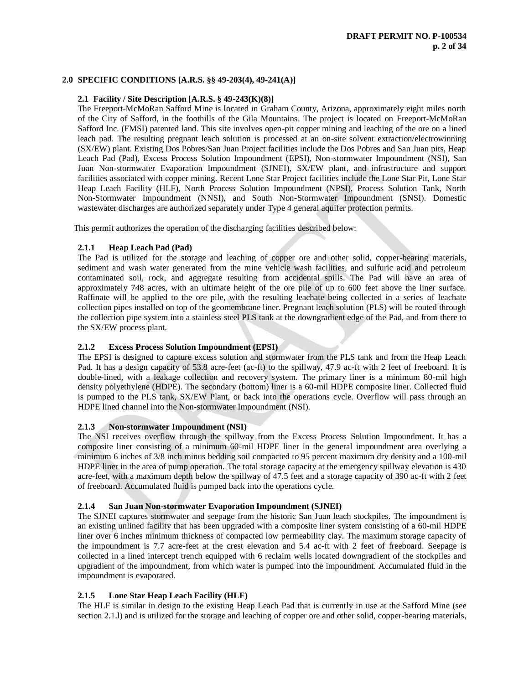# **2.0 SPECIFIC CONDITIONS [A.R.S. §§ 49-203(4), 49-241(A)]**

# **2.1 Facility / Site Description [A.R.S. § 49-243(K)(8)]**

The Freeport-McMoRan Safford Mine is located in Graham County, Arizona, approximately eight miles north of the City of Safford, in the foothills of the Gila Mountains. The project is located on Freeport-McMoRan Safford Inc. (FMSI) patented land. This site involves open-pit copper mining and leaching of the ore on a lined leach pad. The resulting pregnant leach solution is processed at an on-site solvent extraction/electrowinning (SX/EW) plant. Existing Dos Pobres/San Juan Project facilities include the Dos Pobres and San Juan pits, Heap Leach Pad (Pad), Excess Process Solution Impoundment (EPSI), Non-stormwater Impoundment (NSI), San Juan Non-stormwater Evaporation Impoundment (SJNEI), SX/EW plant, and infrastructure and support facilities associated with copper mining. Recent Lone Star Project facilities include the Lone Star Pit, Lone Star Heap Leach Facility (HLF), North Process Solution Impoundment (NPSI), Process Solution Tank, North Non-Stormwater Impoundment (NNSI), and South Non-Stormwater Impoundment (SNSI). Domestic wastewater discharges are authorized separately under Type 4 general aquifer protection permits.

This permit authorizes the operation of the discharging facilities described below:

# **2.1.1 Heap Leach Pad (Pad)**

The Pad is utilized for the storage and leaching of copper ore and other solid, copper-bearing materials, sediment and wash water generated from the mine vehicle wash facilities, and sulfuric acid and petroleum contaminated soil, rock, and aggregate resulting from accidental spills. The Pad will have an area of approximately 748 acres, with an ultimate height of the ore pile of up to 600 feet above the liner surface. Raffinate will be applied to the ore pile, with the resulting leachate being collected in a series of leachate collection pipes installed on top of the geomembrane liner. Pregnant leach solution (PLS) will be routed through the collection pipe system into a stainless steel PLS tank at the downgradient edge of the Pad, and from there to the SX/EW process plant.

# **2.1.2 Excess Process Solution Impoundment (EPSI)**

The EPSI is designed to capture excess solution and stormwater from the PLS tank and from the Heap Leach Pad. It has a design capacity of 53.8 acre-feet (ac-ft) to the spillway, 47.9 ac-ft with 2 feet of freeboard. It is double-lined, with a leakage collection and recovery system. The primary liner is a minimum 80-mil high density polyethylene (HDPE). The secondary (bottom) liner is a 60-mil HDPE composite liner. Collected fluid is pumped to the PLS tank, SX/EW Plant, or back into the operations cycle. Overflow will pass through an HDPE lined channel into the Non-stormwater Impoundment (NSI).

# **2.1.3 Non-stormwater Impoundment (NSI)**

The NSI receives overflow through the spillway from the Excess Process Solution Impoundment. It has a composite liner consisting of a minimum 60-mil HDPE liner in the general impoundment area overlying a minimum 6 inches of 3/8 inch minus bedding soil compacted to 95 percent maximum dry density and a 100-mil HDPE liner in the area of pump operation. The total storage capacity at the emergency spillway elevation is 430 acre-feet, with a maximum depth below the spillway of 47.5 feet and a storage capacity of 390 ac-ft with 2 feet of freeboard. Accumulated fluid is pumped back into the operations cycle.

# **2.1.4 San Juan Non-stormwater Evaporation Impoundment (SJNEI)**

The SJNEI captures stormwater and seepage from the historic San Juan leach stockpiles. The impoundment is an existing unlined facility that has been upgraded with a composite liner system consisting of a 60-mil HDPE liner over 6 inches minimum thickness of compacted low permeability clay. The maximum storage capacity of the impoundment is 7.7 acre-feet at the crest elevation and 5.4 ac-ft with 2 feet of freeboard. Seepage is collected in a lined intercept trench equipped with 6 reclaim wells located downgradient of the stockpiles and upgradient of the impoundment, from which water is pumped into the impoundment. Accumulated fluid in the impoundment is evaporated.

# **2.1.5 Lone Star Heap Leach Facility (HLF)**

The HLF is similar in design to the existing Heap Leach Pad that is currently in use at the Safford Mine (see section 2.1.l) and is utilized for the storage and leaching of copper ore and other solid, copper-bearing materials,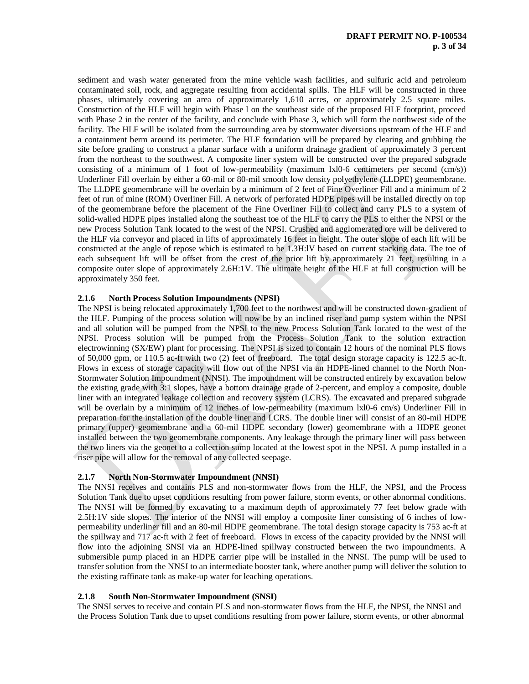sediment and wash water generated from the mine vehicle wash facilities, and sulfuric acid and petroleum contaminated soil, rock, and aggregate resulting from accidental spills. The HLF will be constructed in three phases, ultimately covering an area of approximately 1,610 acres, or approximately 2.5 square miles. Construction of the HLF will begin with Phase l on the southeast side of the proposed HLF footprint, proceed with Phase 2 in the center of the facility, and conclude with Phase 3, which will form the northwest side of the facility. The HLF will be isolated from the surrounding area by stormwater diversions upstream of the HLF and a containment berm around its perimeter. The HLF foundation will be prepared by clearing and grubbing the site before grading to construct a planar surface with a uniform drainage gradient of approximately 3 percent from the northeast to the southwest. A composite liner system will be constructed over the prepared subgrade consisting of a minimum of 1 foot of low-permeability (maximum lxl0-6 centimeters per second (cm/s)) Underliner Fill overlain by either a 60-mil or 80-mil smooth low density polyethylene (LLDPE) geomembrane. The LLDPE geomembrane will be overlain by a minimum of 2 feet of Fine Overliner Fill and a minimum of 2 feet of run of mine (ROM) Overliner Fill. A network of perforated HDPE pipes will be installed directly on top of the geomembrane before the placement of the Fine Overliner Fill to collect and carry PLS to a system of solid-walled HDPE pipes installed along the southeast toe of the HLF to carry the PLS to either the NPSI or the new Process Solution Tank located to the west of the NPSI. Crushed and agglomerated ore will be delivered to the HLF via conveyor and placed in lifts of approximately 16 feet in height. The outer slope of each lift will be constructed at the angle of repose which is estimated to be 1.3H:lV based on current stacking data. The toe of each subsequent lift will be offset from the crest of the prior lift by approximately 21 feet, resulting in a composite outer slope of approximately 2.6H:1V. The ultimate height of the HLF at full construction will be approximately 350 feet.

# **2.1.6 North Process Solution Impoundments (NPSI)**

The NPSI is being relocated approximately 1,700 feet to the northwest and will be constructed down-gradient of the HLF. Pumping of the process solution will now be by an inclined riser and pump system within the NPSI and all solution will be pumped from the NPSI to the new Process Solution Tank located to the west of the NPSI. Process solution will be pumped from the Process Solution Tank to the solution extraction electrowinning (SX/EW) plant for processing. The NPSI is sized to contain 12 hours of the nominal PLS flows of 50,000 gpm, or 110.5 ac-ft with two (2) feet of freeboard. The total design storage capacity is 122.5 ac-ft. Flows in excess of storage capacity will flow out of the NPSI via an HDPE-lined channel to the North Non-Stormwater Solution Impoundment (NNSI). The impoundment will be constructed entirely by excavation below the existing grade with 3:1 slopes, have a bottom drainage grade of 2-percent, and employ a composite, double liner with an integrated leakage collection and recovery system (LCRS). The excavated and prepared subgrade will be overlain by a minimum of 12 inches of low-permeability (maximum lxl0-6 cm/s) Underliner Fill in preparation for the installation of the double liner and LCRS. The double liner will consist of an 80-mil HDPE primary (upper) geomembrane and a 60-mil HDPE secondary (lower) geomembrane with a HDPE geonet installed between the two geomembrane components. Any leakage through the primary liner will pass between the two liners via the geonet to a collection sump located at the lowest spot in the NPSI. A pump installed in a riser pipe will allow for the removal of any collected seepage.

# **2.1.7 North Non-Stormwater Impoundment (NNSI)**

The NNSI receives and contains PLS and non-stormwater flows from the HLF, the NPSI, and the Process Solution Tank due to upset conditions resulting from power failure, storm events, or other abnormal conditions. The NNSI will be formed by excavating to a maximum depth of approximately 77 feet below grade with 2.5H:1V side slopes. The interior of the NNSI will employ a composite liner consisting of 6 inches of lowpermeability underliner fill and an 80-mil HDPE geomembrane. The total design storage capacity is 753 ac-ft at the spillway and 717 ac-ft with 2 feet of freeboard. Flows in excess of the capacity provided by the NNSI will flow into the adjoining SNSI via an HDPE-lined spillway constructed between the two impoundments. A submersible pump placed in an HDPE carrier pipe will be installed in the NNSI. The pump will be used to transfer solution from the NNSI to an intermediate booster tank, where another pump will deliver the solution to the existing raffinate tank as make-up water for leaching operations.

#### **2.1.8 South Non-Stormwater Impoundment (SNSI)**

 The SNSI serves to receive and contain PLS and non-stormwater flows from the HLF, the NPSI, the NNSI and the Process Solution Tank due to upset conditions resulting from power failure, storm events, or other abnormal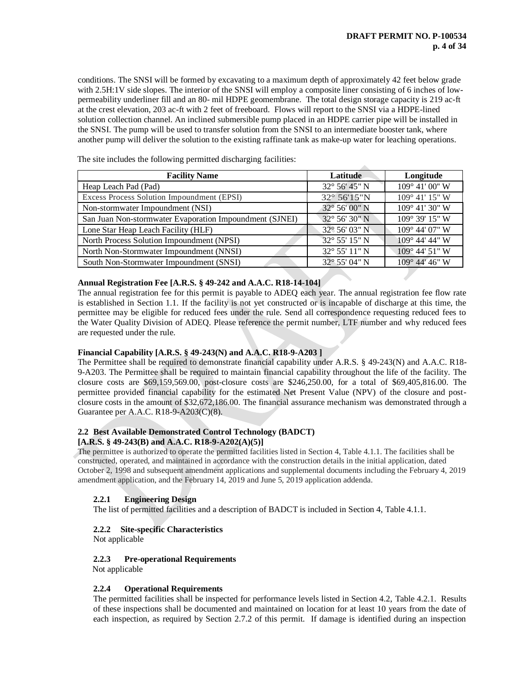conditions. The SNSI will be formed by excavating to a maximum depth of approximately 42 feet below grade with 2.5H:1V side slopes. The interior of the SNSI will employ a composite liner consisting of 6 inches of lowpermeability underliner fill and an 80- mil HDPE geomembrane. The total design storage capacity is 219 ac-ft at the crest elevation, 203 ac-ft with 2 feet of freeboard. Flows will report to the SNSI via a HDPE-lined solution collection channel. An inclined submersible pump placed in an HDPE carrier pipe will be installed in the SNSI. The pump will be used to transfer solution from the SNSI to an intermediate booster tank, where another pump will deliver the solution to the existing raffinate tank as make-up water for leaching operations.

| <b>Facility Name</b>                                    | <b>Latitude</b>        | Longitude               |
|---------------------------------------------------------|------------------------|-------------------------|
| Heap Leach Pad (Pad)                                    | 32° 56' 45" N          | 109° 41' 00" W          |
| Excess Process Solution Impoundment (EPSI)              | 32° 56'15"N            | 109° 41' 15" W          |
| Non-stormwater Impoundment (NSI)                        | $32^{\circ}$ 56' 00" N | $109^{\circ}$ 41' 30" W |
| San Juan Non-stormwater Evaporation Impoundment (SJNEI) | 32° 56' 30" N          | 109° 39' 15" W          |
| Lone Star Heap Leach Facility (HLF)                     | 32° 56' 03" N          | 109° 44' 07" W          |
| North Process Solution Impoundment (NPSI)               | $32^{\circ}$ 55' 15" N | 109° 44' 44" W          |
| North Non-Stormwater Impoundment (NNSI)                 | 32° 55' 11" N          | $109^{\circ}$ 44' 51" W |
| South Non-Stormwater Impoundment (SNSI)                 | 32° 55' 04" N          | $109^{\circ}$ 44' 46" W |

The site includes the following permitted discharging facilities:

# **Annual Registration Fee [A.R.S. § 49-242 and A.A.C. R18-14-104]**

The annual registration fee for this permit is payable to ADEQ each year. The annual registration fee flow rate is established in Section 1.1. If the facility is not yet constructed or is incapable of discharge at this time, the permittee may be eligible for reduced fees under the rule. Send all correspondence requesting reduced fees to the Water Quality Division of ADEQ. Please reference the permit number, LTF number and why reduced fees are requested under the rule.

# **Financial Capability [A.R.S. § 49-243(N) and A.A.C. R18-9-A203 ]**

The Permittee shall be required to demonstrate financial capability under A.R.S. § 49-243(N) and A.A.C. R18- 9-A203. The Permittee shall be required to maintain financial capability throughout the life of the facility. The closure costs are \$69,159,569.00, post-closure costs are \$246,250.00, for a total of \$69,405,816.00. The permittee provided financial capability for the estimated Net Present Value (NPV) of the closure and postclosure costs in the amount of \$32,672,186.00. The financial assurance mechanism was demonstrated through a Guarantee per A.A.C. R18-9-A203(C)(8).

#### **2.2 Best Available Demonstrated Control Technology (BADCT) [A.R.S. § 49-243(B) and A.A.C. R18-9-A202(A)(5)]**

The permittee is authorized to operate the permitted facilities listed in Section 4, Table 4.1.1. The facilities shall be constructed, operated, and maintained in accordance with the construction details in the initial application, dated October 2, 1998 and subsequent amendment applications and supplemental documents including the February 4, 2019 amendment application, and the February 14, 2019 and June 5, 2019 application addenda.

# **2.2.1 Engineering Design**

The list of permitted facilities and a description of BADCT is included in Section 4, Table 4.1.1.

# **2.2.2 Site-specific Characteristics**

Not applicable

# **2.2.3 Pre-operational Requirements**

Not applicable

# **2.2.4 Operational Requirements**

The permitted facilities shall be inspected for performance levels listed in Section 4.2, Table 4.2.1. Results of these inspections shall be documented and maintained on location for at least 10 years from the date of each inspection, as required by Section 2.7.2 of this permit. If damage is identified during an inspection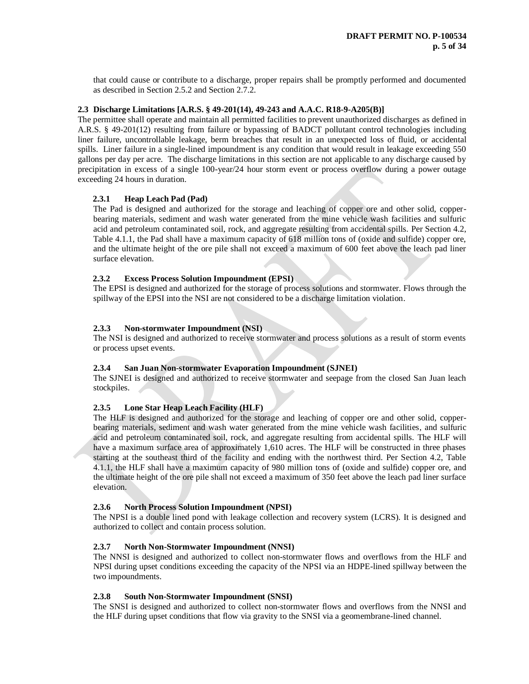that could cause or contribute to a discharge, proper repairs shall be promptly performed and documented as described in Section 2.5.2 and Section 2.7.2.

## **2.3 Discharge Limitations [A.R.S. § 49-201(14), 49-243 and A.A.C. R18-9-A205(B)]**

The permittee shall operate and maintain all permitted facilities to prevent unauthorized discharges as defined in A.R.S. § 49-201(12) resulting from failure or bypassing of BADCT pollutant control technologies including liner failure, uncontrollable leakage, berm breaches that result in an unexpected loss of fluid, or accidental spills. Liner failure in a single-lined impoundment is any condition that would result in leakage exceeding 550 gallons per day per acre. The discharge limitations in this section are not applicable to any discharge caused by precipitation in excess of a single 100-year/24 hour storm event or process overflow during a power outage exceeding 24 hours in duration.

# **2.3.1 Heap Leach Pad (Pad)**

The Pad is designed and authorized for the storage and leaching of copper ore and other solid, copperbearing materials, sediment and wash water generated from the mine vehicle wash facilities and sulfuric acid and petroleum contaminated soil, rock, and aggregate resulting from accidental spills. Per Section 4.2, Table 4.1.1, the Pad shall have a maximum capacity of 618 million tons of (oxide and sulfide) copper ore, and the ultimate height of the ore pile shall not exceed a maximum of 600 feet above the leach pad liner surface elevation.

# **2.3.2 Excess Process Solution Impoundment (EPSI)**

The EPSI is designed and authorized for the storage of process solutions and stormwater. Flows through the spillway of the EPSI into the NSI are not considered to be a discharge limitation violation.

# **2.3.3 Non-stormwater Impoundment (NSI)**

The NSI is designed and authorized to receive stormwater and process solutions as a result of storm events or process upset events.

# **2.3.4 San Juan Non-stormwater Evaporation Impoundment (SJNEI)**

The SJNEI is designed and authorized to receive stormwater and seepage from the closed San Juan leach stockpiles.

# **2.3.5 Lone Star Heap Leach Facility (HLF)**

The HLF is designed and authorized for the storage and leaching of copper ore and other solid, copperbearing materials, sediment and wash water generated from the mine vehicle wash facilities, and sulfuric acid and petroleum contaminated soil, rock, and aggregate resulting from accidental spills. The HLF will have a maximum surface area of approximately 1,610 acres. The HLF will be constructed in three phases starting at the southeast third of the facility and ending with the northwest third. Per Section 4.2, Table 4.1.1, the HLF shall have a maximum capacity of 980 million tons of (oxide and sulfide) copper ore, and the ultimate height of the ore pile shall not exceed a maximum of 350 feet above the leach pad liner surface elevation.

#### **2.3.6 North Process Solution Impoundment (NPSI)**

The NPSI is a double lined pond with leakage collection and recovery system (LCRS). It is designed and authorized to collect and contain process solution.

#### **2.3.7 North Non-Stormwater Impoundment (NNSI)**

The NNSI is designed and authorized to collect non-stormwater flows and overflows from the HLF and NPSI during upset conditions exceeding the capacity of the NPSI via an HDPE-lined spillway between the two impoundments.

#### **2.3.8 South Non-Stormwater Impoundment (SNSI)**

The SNSI is designed and authorized to collect non-stormwater flows and overflows from the NNSI and the HLF during upset conditions that flow via gravity to the SNSI via a geomembrane-lined channel.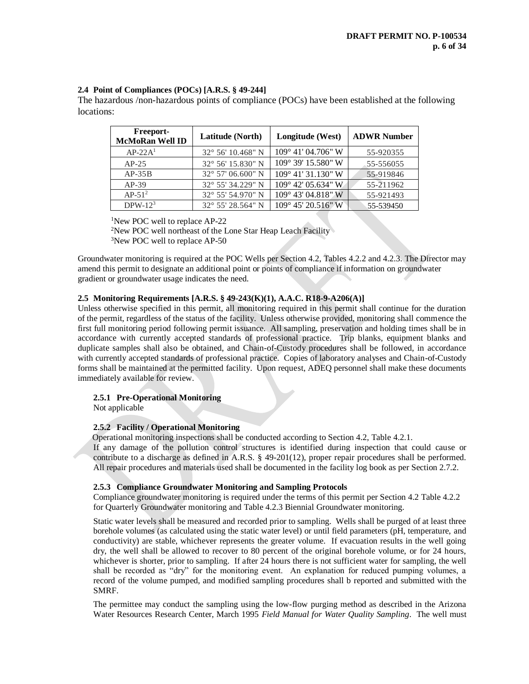# **2.4 Point of Compliances (POCs) [A.R.S. § 49-244]**

The hazardous /non-hazardous points of compliance (POCs) have been established at the following locations:

| Freeport-<br><b>McMoRan Well ID</b> | Latitude (North)           | Longitude (West)            | <b>ADWR Number</b> |
|-------------------------------------|----------------------------|-----------------------------|--------------------|
| $AP-22A1$                           | $32^{\circ}$ 56' 10.468" N | $109^{\circ}$ 41' 04.706" W | 55-920355          |
| $AP-25$                             | 32° 56' 15.830" N          | $109^{\circ}$ 39' 15.580" W | 55-556055          |
| $AP-35B$                            | $32^{\circ}$ 57' 06.600" N | $109^{\circ}$ 41' 31.130" W | 55-919846          |
| $AP-39$                             | 32° 55′ 34.229″ N          | 109° 42′ 05.634″ W          | 55-211962          |
| $AP-51^2$                           | $32^{\circ}$ 55' 54.970" N | 109° 43′ 04.818″ W          | 55-921493          |
| DPW- $123$                          | $32^{\circ}$ 55' 28.564" N | 109° 45' 20.516" W          | 55-539450          |

<sup>1</sup>New POC well to replace AP-22

<sup>2</sup>New POC well northeast of the Lone Star Heap Leach Facility <sup>3</sup>New POC well to replace AP-50

Groundwater monitoring is required at the POC Wells per Section 4.2, Tables 4.2.2 and 4.2.3. The Director may amend this permit to designate an additional point or points of compliance if information on groundwater gradient or groundwater usage indicates the need.

# **2.5 Monitoring Requirements [A.R.S. § 49-243(K)(1), A.A.C. R18-9-A206(A)]**

Unless otherwise specified in this permit, all monitoring required in this permit shall continue for the duration of the permit, regardless of the status of the facility. Unless otherwise provided, monitoring shall commence the first full monitoring period following permit issuance. All sampling, preservation and holding times shall be in accordance with currently accepted standards of professional practice. Trip blanks, equipment blanks and duplicate samples shall also be obtained, and Chain-of-Custody procedures shall be followed, in accordance with currently accepted standards of professional practice. Copies of laboratory analyses and Chain-of-Custody forms shall be maintained at the permitted facility. Upon request, ADEQ personnel shall make these documents immediately available for review.

# **2.5.1 Pre-Operational Monitoring**

Not applicable

# **2.5.2 Facility / Operational Monitoring**

Operational monitoring inspections shall be conducted according to Section 4.2, Table 4.2.1.

If any damage of the pollution control structures is identified during inspection that could cause or contribute to a discharge as defined in A.R.S. § 49-201(12), proper repair procedures shall be performed. All repair procedures and materials used shall be documented in the facility log book as per Section 2.7.2.

# **2.5.3 Compliance Groundwater Monitoring and Sampling Protocols**

Compliance groundwater monitoring is required under the terms of this permit per Section 4.2 Table 4.2.2 for Quarterly Groundwater monitoring and Table 4.2.3 Biennial Groundwater monitoring.

Static water levels shall be measured and recorded prior to sampling. Wells shall be purged of at least three borehole volumes (as calculated using the static water level) or until field parameters (pH, temperature, and conductivity) are stable, whichever represents the greater volume. If evacuation results in the well going dry, the well shall be allowed to recover to 80 percent of the original borehole volume, or for 24 hours, whichever is shorter, prior to sampling. If after 24 hours there is not sufficient water for sampling, the well shall be recorded as "dry" for the monitoring event. An explanation for reduced pumping volumes, a record of the volume pumped, and modified sampling procedures shall b reported and submitted with the SMRF.

The permittee may conduct the sampling using the low-flow purging method as described in the Arizona Water Resources Research Center, March 1995 *Field Manual for Water Quality Sampling*. The well must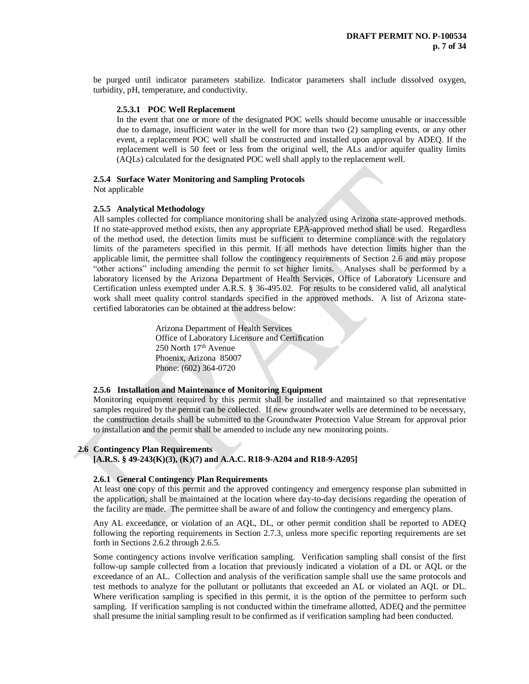be purged until indicator parameters stabilize. Indicator parameters shall include dissolved oxygen, turbidity, pH, temperature, and conductivity.

#### **2.5.3.1 POC Well Replacement**

In the event that one or more of the designated POC wells should become unusable or inaccessible due to damage, insufficient water in the well for more than two (2) sampling events, or any other event, a replacement POC well shall be constructed and installed upon approval by ADEQ. If the replacement well is 50 feet or less from the original well, the ALs and/or aquifer quality limits (AQLs) calculated for the designated POC well shall apply to the replacement well.

#### **2.5.4 Surface Water Monitoring and Sampling Protocols**

Not applicable

#### **2.5.5 Analytical Methodology**

All samples collected for compliance monitoring shall be analyzed using Arizona state-approved methods. If no state-approved method exists, then any appropriate EPA-approved method shall be used. Regardless of the method used, the detection limits must be sufficient to determine compliance with the regulatory limits of the parameters specified in this permit. If all methods have detection limits higher than the applicable limit, the permittee shall follow the contingency requirements of Section 2.6 and may propose "other actions" including amending the permit to set higher limits. Analyses shall be performed by a laboratory licensed by the Arizona Department of Health Services, Office of Laboratory Licensure and Certification unless exempted under A.R.S. § 36-495.02. For results to be considered valid, all analytical work shall meet quality control standards specified in the approved methods. A list of Arizona statecertified laboratories can be obtained at the address below:

> Arizona Department of Health Services Office of Laboratory Licensure and Certification 250 North 17<sup>th</sup> Avenue Phoenix, Arizona 85007 Phone: (602) 364-0720

### **2.5.6 Installation and Maintenance of Monitoring Equipment**

Monitoring equipment required by this permit shall be installed and maintained so that representative samples required by the permit can be collected. If new groundwater wells are determined to be necessary, the construction details shall be submitted to the Groundwater Protection Value Stream for approval prior to installation and the permit shall be amended to include any new monitoring points.

#### **2.6 Contingency Plan Requirements**

**[A.R.S. § 49-243(K)(3), (K)(7) and A.A.C. R18-9-A204 and R18-9-A205]**

#### **2.6.1 General Contingency Plan Requirements**

At least one copy of this permit and the approved contingency and emergency response plan submitted in the application, shall be maintained at the location where day-to-day decisions regarding the operation of the facility are made. The permittee shall be aware of and follow the contingency and emergency plans.

Any AL exceedance, or violation of an AQL, DL, or other permit condition shall be reported to ADEQ following the reporting requirements in Section 2.7.3, unless more specific reporting requirements are set forth in Sections 2.6.2 through 2.6.5.

Some contingency actions involve verification sampling. Verification sampling shall consist of the first follow-up sample collected from a location that previously indicated a violation of a DL or AQL or the exceedance of an AL. Collection and analysis of the verification sample shall use the same protocols and test methods to analyze for the pollutant or pollutants that exceeded an AL or violated an AQL or DL. Where verification sampling is specified in this permit, it is the option of the permittee to perform such sampling. If verification sampling is not conducted within the timeframe allotted, ADEQ and the permittee shall presume the initial sampling result to be confirmed as if verification sampling had been conducted.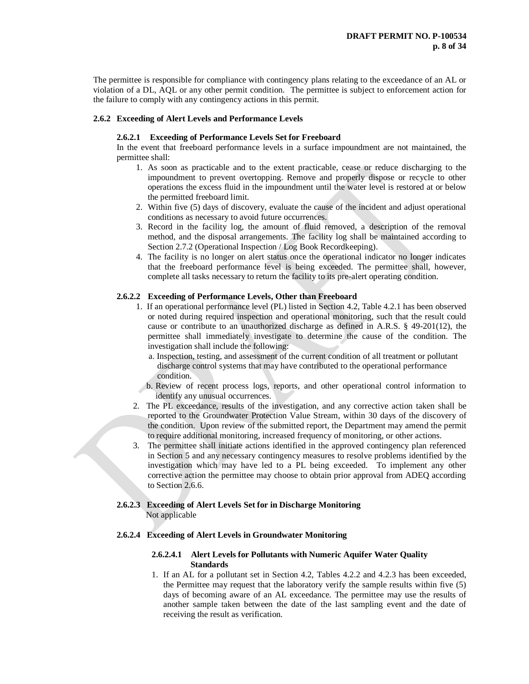The permittee is responsible for compliance with contingency plans relating to the exceedance of an AL or violation of a DL, AQL or any other permit condition. The permittee is subject to enforcement action for the failure to comply with any contingency actions in this permit.

# **2.6.2 Exceeding of Alert Levels and Performance Levels**

#### **2.6.2.1 Exceeding of Performance Levels Set for Freeboard**

In the event that freeboard performance levels in a surface impoundment are not maintained, the permittee shall:

- 1. As soon as practicable and to the extent practicable, cease or reduce discharging to the impoundment to prevent overtopping. Remove and properly dispose or recycle to other operations the excess fluid in the impoundment until the water level is restored at or below the permitted freeboard limit.
- 2. Within five (5) days of discovery, evaluate the cause of the incident and adjust operational conditions as necessary to avoid future occurrences.
- 3. Record in the facility log, the amount of fluid removed, a description of the removal method, and the disposal arrangements. The facility log shall be maintained according to Section 2.7.2 (Operational Inspection / Log Book Recordkeeping).
- 4. The facility is no longer on alert status once the operational indicator no longer indicates that the freeboard performance level is being exceeded. The permittee shall, however, complete all tasks necessary to return the facility to its pre-alert operating condition.

#### **2.6.2.2 Exceeding of Performance Levels, Other than Freeboard**

- 1. If an operational performance level (PL) listed in Section 4.2, Table 4.2.1 has been observed or noted during required inspection and operational monitoring, such that the result could cause or contribute to an unauthorized discharge as defined in A.R.S. § 49-201(12), the permittee shall immediately investigate to determine the cause of the condition. The investigation shall include the following:
	- a. Inspection, testing, and assessment of the current condition of all treatment or pollutant discharge control systems that may have contributed to the operational performance condition.
	- b. Review of recent process logs, reports, and other operational control information to identify any unusual occurrences.
- 2. The PL exceedance, results of the investigation, and any corrective action taken shall be reported to the Groundwater Protection Value Stream, within 30 days of the discovery of the condition. Upon review of the submitted report, the Department may amend the permit to require additional monitoring, increased frequency of monitoring, or other actions.
- 3. The permittee shall initiate actions identified in the approved contingency plan referenced in Section 5 and any necessary contingency measures to resolve problems identified by the investigation which may have led to a PL being exceeded. To implement any other corrective action the permittee may choose to obtain prior approval from ADEQ according to Section 2.6.6.

#### **2.6.2.3 Exceeding of Alert Levels Set for in Discharge Monitoring** Not applicable

#### **2.6.2.4 Exceeding of Alert Levels in Groundwater Monitoring**

#### **2.6.2.4.1 Alert Levels for Pollutants with Numeric Aquifer Water Quality Standards**

1. If an AL for a pollutant set in Section 4.2, Tables 4.2.2 and 4.2.3 has been exceeded, the Permittee may request that the laboratory verify the sample results within five (5) days of becoming aware of an AL exceedance. The permittee may use the results of another sample taken between the date of the last sampling event and the date of receiving the result as verification.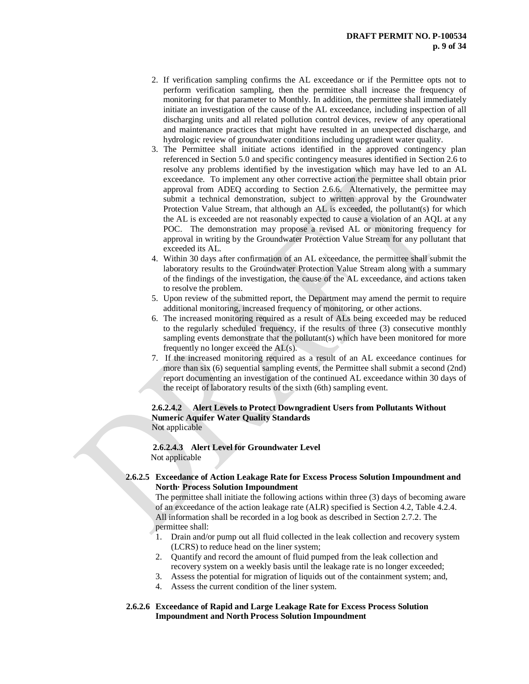- 2. If verification sampling confirms the AL exceedance or if the Permittee opts not to perform verification sampling, then the permittee shall increase the frequency of monitoring for that parameter to Monthly. In addition, the permittee shall immediately initiate an investigation of the cause of the AL exceedance, including inspection of all discharging units and all related pollution control devices, review of any operational and maintenance practices that might have resulted in an unexpected discharge, and hydrologic review of groundwater conditions including upgradient water quality.
- 3. The Permittee shall initiate actions identified in the approved contingency plan referenced in Section 5.0 and specific contingency measures identified in Section 2.6 to resolve any problems identified by the investigation which may have led to an AL exceedance. To implement any other corrective action the permittee shall obtain prior approval from ADEQ according to Section 2.6.6. Alternatively, the permittee may submit a technical demonstration, subject to written approval by the Groundwater Protection Value Stream, that although an AL is exceeded, the pollutant(s) for which the AL is exceeded are not reasonably expected to cause a violation of an AQL at any POC. The demonstration may propose a revised AL or monitoring frequency for approval in writing by the Groundwater Protection Value Stream for any pollutant that exceeded its AL.
- 4. Within 30 days after confirmation of an AL exceedance, the permittee shall submit the laboratory results to the Groundwater Protection Value Stream along with a summary of the findings of the investigation, the cause of the AL exceedance, and actions taken to resolve the problem.
- 5. Upon review of the submitted report, the Department may amend the permit to require additional monitoring, increased frequency of monitoring, or other actions.
- 6. The increased monitoring required as a result of ALs being exceeded may be reduced to the regularly scheduled frequency, if the results of three (3) consecutive monthly sampling events demonstrate that the pollutant(s) which have been monitored for more frequently no longer exceed the AL(s).
- 7. If the increased monitoring required as a result of an AL exceedance continues for more than six (6) sequential sampling events, the Permittee shall submit a second (2nd) report documenting an investigation of the continued AL exceedance within 30 days of the receipt of laboratory results of the sixth (6th) sampling event.

#### **2.6.2.4.2 Alert Levels to Protect Downgradient Users from Pollutants Without Numeric Aquifer Water Quality Standards** Not applicable

 **2.6.2.4.3 Alert Level for Groundwater Level** Not applicable

### **2.6.2.5 Exceedance of Action Leakage Rate for Excess Process Solution Impoundment and North· Process Solution Impoundment**

The permittee shall initiate the following actions within three (3) days of becoming aware of an exceedance of the action leakage rate (ALR) specified is Section 4.2, Table 4.2.4. All information shall be recorded in a log book as described in Section 2.7.2. The permittee shall:

- 1. Drain and/or pump out all fluid collected in the leak collection and recovery system (LCRS) to reduce head on the liner system;
- 2. Quantify and record the amount of fluid pumped from the leak collection and recovery system on a weekly basis until the leakage rate is no longer exceeded;
- 3. Assess the potential for migration of liquids out of the containment system; and,
- 4. Assess the current condition of the liner system.

### **2.6.2.6 Exceedance of Rapid and Large Leakage Rate for Excess Process Solution Impoundment and North Process Solution Impoundment**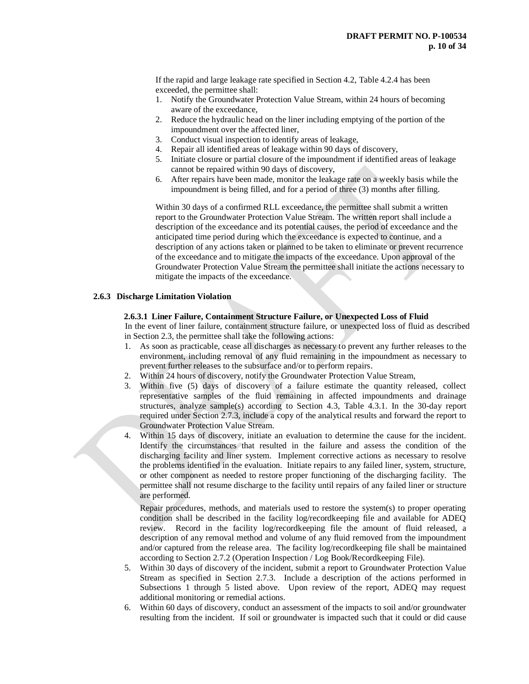If the rapid and large leakage rate specified in Section 4.2, Table 4.2.4 has been exceeded, the permittee shall:

- 1. Notify the Groundwater Protection Value Stream, within 24 hours of becoming aware of the exceedance,
- 2. Reduce the hydraulic head on the liner including emptying of the portion of the impoundment over the affected liner,
- 3. Conduct visual inspection to identify areas of leakage,
- 4. Repair all identified areas of leakage within 90 days of discovery,
- 5. Initiate closure or partial closure of the impoundment if identified areas of leakage cannot be repaired within 90 days of discovery,
- 6. After repairs have been made, monitor the leakage rate on a weekly basis while the impoundment is being filled, and for a period of three (3) months after filling.

Within 30 days of a confirmed RLL exceedance, the permittee shall submit a written report to the Groundwater Protection Value Stream. The written report shall include a description of the exceedance and its potential causes, the period of exceedance and the anticipated time period during which the exceedance is expected to continue, and a description of any actions taken or planned to be taken to eliminate or prevent recurrence of the exceedance and to mitigate the impacts of the exceedance. Upon approval of the Groundwater Protection Value Stream the permittee shall initiate the actions necessary to mitigate the impacts of the exceedance.

### **2.6.3 Discharge Limitation Violation**

#### **2.6.3.1 Liner Failure, Containment Structure Failure, or Unexpected Loss of Fluid**

In the event of liner failure, containment structure failure, or unexpected loss of fluid as described in Section 2.3, the permittee shall take the following actions:

- 1. As soon as practicable, cease all discharges as necessary to prevent any further releases to the environment, including removal of any fluid remaining in the impoundment as necessary to prevent further releases to the subsurface and/or to perform repairs.
- 2. Within 24 hours of discovery, notify the Groundwater Protection Value Stream,
- 3. Within five (5) days of discovery of a failure estimate the quantity released, collect representative samples of the fluid remaining in affected impoundments and drainage structures, analyze sample(s) according to Section 4.3, Table 4.3.1. In the 30-day report required under Section 2.7.3, include a copy of the analytical results and forward the report to Groundwater Protection Value Stream.
- 4. Within 15 days of discovery, initiate an evaluation to determine the cause for the incident. Identify the circumstances that resulted in the failure and assess the condition of the discharging facility and liner system. Implement corrective actions as necessary to resolve the problems identified in the evaluation. Initiate repairs to any failed liner, system, structure, or other component as needed to restore proper functioning of the discharging facility. The permittee shall not resume discharge to the facility until repairs of any failed liner or structure are performed.

Repair procedures, methods, and materials used to restore the system(s) to proper operating condition shall be described in the facility log/recordkeeping file and available for ADEQ review. Record in the facility log/recordkeeping file the amount of fluid released, a description of any removal method and volume of any fluid removed from the impoundment and/or captured from the release area. The facility log/recordkeeping file shall be maintained according to Section 2.7.2 (Operation Inspection / Log Book/Recordkeeping File).

- 5. Within 30 days of discovery of the incident, submit a report to Groundwater Protection Value Stream as specified in Section 2.7.3. Include a description of the actions performed in Subsections 1 through 5 listed above. Upon review of the report, ADEQ may request additional monitoring or remedial actions.
- 6. Within 60 days of discovery, conduct an assessment of the impacts to soil and/or groundwater resulting from the incident. If soil or groundwater is impacted such that it could or did cause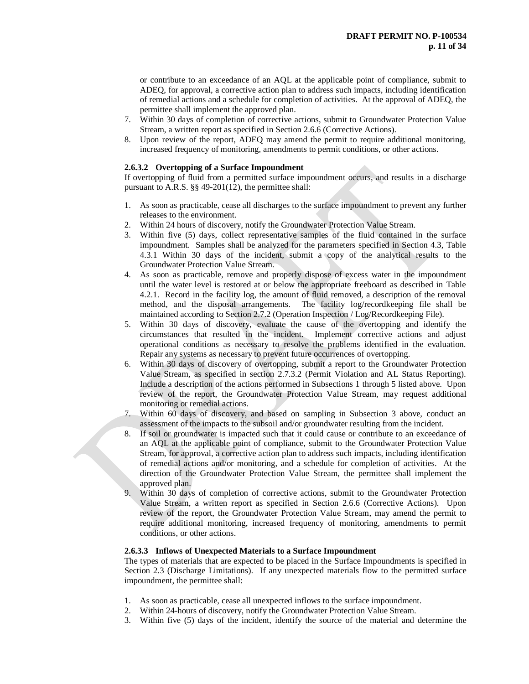or contribute to an exceedance of an AQL at the applicable point of compliance, submit to ADEQ, for approval, a corrective action plan to address such impacts, including identification of remedial actions and a schedule for completion of activities. At the approval of ADEQ, the permittee shall implement the approved plan.

- 7. Within 30 days of completion of corrective actions, submit to Groundwater Protection Value Stream, a written report as specified in Section 2.6.6 (Corrective Actions).
- 8. Upon review of the report, ADEQ may amend the permit to require additional monitoring, increased frequency of monitoring, amendments to permit conditions, or other actions.

#### **2.6.3.2 Overtopping of a Surface Impoundment**

If overtopping of fluid from a permitted surface impoundment occurs, and results in a discharge pursuant to A.R.S. §§ 49-201(12), the permittee shall:

- 1. As soon as practicable, cease all discharges to the surface impoundment to prevent any further releases to the environment.
- 2. Within 24 hours of discovery, notify the Groundwater Protection Value Stream.
- 3. Within five (5) days, collect representative samples of the fluid contained in the surface impoundment. Samples shall be analyzed for the parameters specified in Section 4.3, Table 4.3.1 Within 30 days of the incident, submit a copy of the analytical results to the Groundwater Protection Value Stream.
- 4. As soon as practicable, remove and properly dispose of excess water in the impoundment until the water level is restored at or below the appropriate freeboard as described in Table 4.2.1. Record in the facility log, the amount of fluid removed, a description of the removal method, and the disposal arrangements. The facility log/recordkeeping file shall be maintained according to Section 2.7.2 (Operation Inspection / Log/Recordkeeping File).
- 5. Within 30 days of discovery, evaluate the cause of the overtopping and identify the circumstances that resulted in the incident. Implement corrective actions and adjust operational conditions as necessary to resolve the problems identified in the evaluation. Repair any systems as necessary to prevent future occurrences of overtopping.
- 6. Within 30 days of discovery of overtopping, submit a report to the Groundwater Protection Value Stream, as specified in section 2.7.3.2 (Permit Violation and AL Status Reporting). Include a description of the actions performed in Subsections 1 through 5 listed above. Upon review of the report, the Groundwater Protection Value Stream, may request additional monitoring or remedial actions.
- 7. Within 60 days of discovery, and based on sampling in Subsection 3 above, conduct an assessment of the impacts to the subsoil and/or groundwater resulting from the incident.
- 8. If soil or groundwater is impacted such that it could cause or contribute to an exceedance of an AQL at the applicable point of compliance, submit to the Groundwater Protection Value Stream, for approval, a corrective action plan to address such impacts, including identification of remedial actions and/or monitoring, and a schedule for completion of activities. At the direction of the Groundwater Protection Value Stream, the permittee shall implement the approved plan.
- 9. Within 30 days of completion of corrective actions, submit to the Groundwater Protection Value Stream, a written report as specified in Section 2.6.6 (Corrective Actions). Upon review of the report, the Groundwater Protection Value Stream, may amend the permit to require additional monitoring, increased frequency of monitoring, amendments to permit conditions, or other actions.

# **2.6.3.3 Inflows of Unexpected Materials to a Surface Impoundment**

The types of materials that are expected to be placed in the Surface Impoundments is specified in Section 2.3 (Discharge Limitations). If any unexpected materials flow to the permitted surface impoundment, the permittee shall:

- 1. As soon as practicable, cease all unexpected inflows to the surface impoundment.
- 2. Within 24-hours of discovery, notify the Groundwater Protection Value Stream.
- 3. Within five (5) days of the incident, identify the source of the material and determine the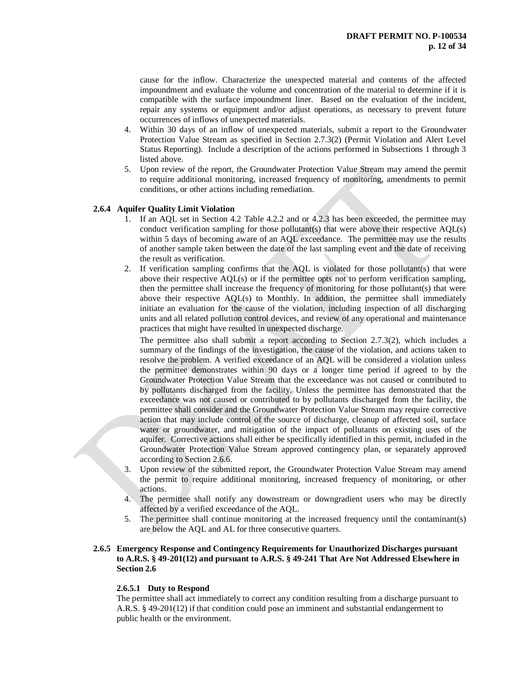cause for the inflow. Characterize the unexpected material and contents of the affected impoundment and evaluate the volume and concentration of the material to determine if it is compatible with the surface impoundment liner. Based on the evaluation of the incident, repair any systems or equipment and/or adjust operations, as necessary to prevent future occurrences of inflows of unexpected materials.

- 4. Within 30 days of an inflow of unexpected materials, submit a report to the Groundwater Protection Value Stream as specified in Section 2.7.3(2) (Permit Violation and Alert Level Status Reporting). Include a description of the actions performed in Subsections 1 through 3 listed above.
- 5. Upon review of the report, the Groundwater Protection Value Stream may amend the permit to require additional monitoring, increased frequency of monitoring, amendments to permit conditions, or other actions including remediation.

#### **2.6.4 Aquifer Quality Limit Violation**

- 1. If an AQL set in Section 4.2 Table 4.2.2 and or 4.2.3 has been exceeded, the permittee may conduct verification sampling for those pollutant(s) that were above their respective AQL(s) within 5 days of becoming aware of an AQL exceedance. The permittee may use the results of another sample taken between the date of the last sampling event and the date of receiving the result as verification.
- 2. If verification sampling confirms that the AQL is violated for those pollutant(s) that were above their respective AQL(s) or if the permittee opts not to perform verification sampling, then the permittee shall increase the frequency of monitoring for those pollutant(s) that were above their respective AQL(s) to Monthly. In addition, the permittee shall immediately initiate an evaluation for the cause of the violation, including inspection of all discharging units and all related pollution control devices, and review of any operational and maintenance practices that might have resulted in unexpected discharge.

The permittee also shall submit a report according to Section  $2.7.3(2)$ , which includes a summary of the findings of the investigation, the cause of the violation, and actions taken to resolve the problem. A verified exceedance of an AQL will be considered a violation unless the permittee demonstrates within 90 days or a longer time period if agreed to by the Groundwater Protection Value Stream that the exceedance was not caused or contributed to by pollutants discharged from the facility. Unless the permittee has demonstrated that the exceedance was not caused or contributed to by pollutants discharged from the facility, the permittee shall consider and the Groundwater Protection Value Stream may require corrective action that may include control of the source of discharge, cleanup of affected soil, surface water or groundwater, and mitigation of the impact of pollutants on existing uses of the aquifer. Corrective actions shall either be specifically identified in this permit, included in the Groundwater Protection Value Stream approved contingency plan, or separately approved according to Section 2.6.6.

- 3. Upon review of the submitted report, the Groundwater Protection Value Stream may amend the permit to require additional monitoring, increased frequency of monitoring, or other actions.
- 4. The permittee shall notify any downstream or downgradient users who may be directly affected by a verified exceedance of the AQL.
- 5. The permittee shall continue monitoring at the increased frequency until the contaminant(s) are below the AQL and AL for three consecutive quarters.

#### **2.6.5 Emergency Response and Contingency Requirements for Unauthorized Discharges pursuant to A.R.S. § 49-201(12) and pursuant to A.R.S. § 49-241 That Are Not Addressed Elsewhere in Section 2.6**

# **2.6.5.1 Duty to Respond**

The permittee shall act immediately to correct any condition resulting from a discharge pursuant to A.R.S. § 49-201(12) if that condition could pose an imminent and substantial endangerment to public health or the environment.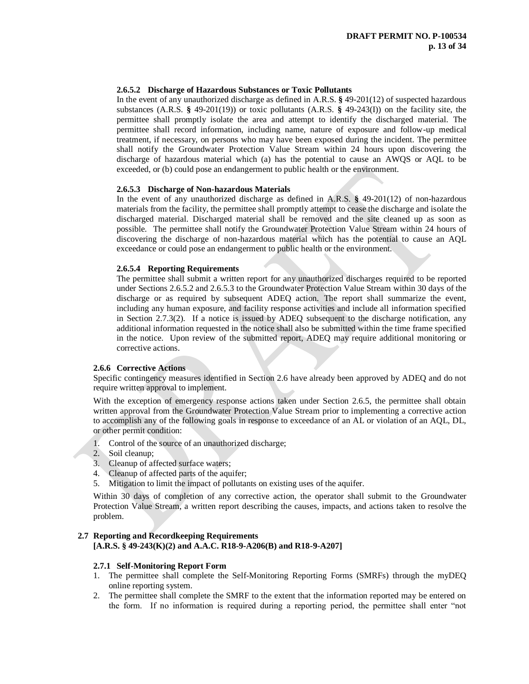## **2.6.5.2 Discharge of Hazardous Substances or Toxic Pollutants**

In the event of any unauthorized discharge as defined in A.R.S. **§** 49-201(12) of suspected hazardous substances (A.R.S. **§** 49-201(19)) or toxic pollutants (A.R.S. **§** 49-243(I)) on the facility site, the permittee shall promptly isolate the area and attempt to identify the discharged material. The permittee shall record information, including name, nature of exposure and follow-up medical treatment, if necessary, on persons who may have been exposed during the incident. The permittee shall notify the Groundwater Protection Value Stream within 24 hours upon discovering the discharge of hazardous material which (a) has the potential to cause an AWQS or AQL to be exceeded, or (b) could pose an endangerment to public health or the environment.

#### **2.6.5.3 Discharge of Non-hazardous Materials**

In the event of any unauthorized discharge as defined in A.R.S. **§** 49-201(12) of non-hazardous materials from the facility, the permittee shall promptly attempt to cease the discharge and isolate the discharged material. Discharged material shall be removed and the site cleaned up as soon as possible. The permittee shall notify the Groundwater Protection Value Stream within 24 hours of discovering the discharge of non-hazardous material which has the potential to cause an AQL exceedance or could pose an endangerment to public health or the environment.

#### **2.6.5.4 Reporting Requirements**

The permittee shall submit a written report for any unauthorized discharges required to be reported under Sections 2.6.5.2 and 2.6.5.3 to the Groundwater Protection Value Stream within 30 days of the discharge or as required by subsequent ADEQ action. The report shall summarize the event, including any human exposure, and facility response activities and include all information specified in Section 2.7.3(2). If a notice is issued by ADEQ subsequent to the discharge notification, any additional information requested in the notice shall also be submitted within the time frame specified in the notice. Upon review of the submitted report, ADEQ may require additional monitoring or corrective actions.

#### **2.6.6 Corrective Actions**

Specific contingency measures identified in Section 2.6 have already been approved by ADEQ and do not require written approval to implement.

With the exception of emergency response actions taken under Section 2.6.5, the permittee shall obtain written approval from the Groundwater Protection Value Stream prior to implementing a corrective action to accomplish any of the following goals in response to exceedance of an AL or violation of an AQL, DL, or other permit condition:

- 1. Control of the source of an unauthorized discharge;
- 2. Soil cleanup;
- 3. Cleanup of affected surface waters;
- 4. Cleanup of affected parts of the aquifer;
- 5. Mitigation to limit the impact of pollutants on existing uses of the aquifer.

Within 30 days of completion of any corrective action, the operator shall submit to the Groundwater Protection Value Stream, a written report describing the causes, impacts, and actions taken to resolve the problem.

# **2.7 Reporting and Recordkeeping Requirements**

**[A.R.S. § 49-243(K)(2) and A.A.C. R18-9-A206(B) and R18-9-A207]**

#### **2.7.1 Self-Monitoring Report Form**

- 1. The permittee shall complete the Self-Monitoring Reporting Forms (SMRFs) through the myDEQ online reporting system.
- 2. The permittee shall complete the SMRF to the extent that the information reported may be entered on the form. If no information is required during a reporting period, the permittee shall enter "not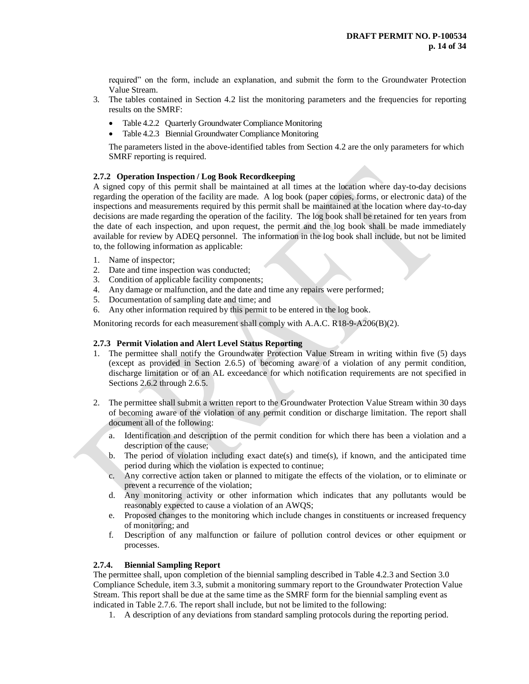required" on the form, include an explanation, and submit the form to the Groundwater Protection Value Stream.

- 3. The tables contained in Section 4.2 list the monitoring parameters and the frequencies for reporting results on the SMRF:
	- Table 4.2.2 Quarterly Groundwater Compliance Monitoring
	- Table 4.2.3 Biennial Groundwater Compliance Monitoring

The parameters listed in the above-identified tables from Section 4.2 are the only parameters for which SMRF reporting is required.

## **2.7.2 Operation Inspection / Log Book Recordkeeping**

A signed copy of this permit shall be maintained at all times at the location where day-to-day decisions regarding the operation of the facility are made. A log book (paper copies, forms, or electronic data) of the inspections and measurements required by this permit shall be maintained at the location where day-to-day decisions are made regarding the operation of the facility. The log book shall be retained for ten years from the date of each inspection, and upon request, the permit and the log book shall be made immediately available for review by ADEQ personnel. The information in the log book shall include, but not be limited to, the following information as applicable:

- 1. Name of inspector;
- 2. Date and time inspection was conducted;
- 3. Condition of applicable facility components;
- 4. Any damage or malfunction, and the date and time any repairs were performed;
- 5. Documentation of sampling date and time; and
- 6. Any other information required by this permit to be entered in the log book.

Monitoring records for each measurement shall comply with A.A.C. R18-9-A206(B)(2).

#### **2.7.3 Permit Violation and Alert Level Status Reporting**

- 1. The permittee shall notify the Groundwater Protection Value Stream in writing within five (5) days (except as provided in Section 2.6.5) of becoming aware of a violation of any permit condition, discharge limitation or of an AL exceedance for which notification requirements are not specified in Sections 2.6.2 through 2.6.5.
- 2. The permittee shall submit a written report to the Groundwater Protection Value Stream within 30 days of becoming aware of the violation of any permit condition or discharge limitation. The report shall document all of the following:
	- a. Identification and description of the permit condition for which there has been a violation and a description of the cause;
	- b. The period of violation including exact date(s) and time(s), if known, and the anticipated time period during which the violation is expected to continue;
	- c. Any corrective action taken or planned to mitigate the effects of the violation, or to eliminate or prevent a recurrence of the violation;
	- d. Any monitoring activity or other information which indicates that any pollutants would be reasonably expected to cause a violation of an AWQS;
	- e. Proposed changes to the monitoring which include changes in constituents or increased frequency of monitoring; and
	- f. Description of any malfunction or failure of pollution control devices or other equipment or processes.

#### **2.7.4. Biennial Sampling Report**

The permittee shall, upon completion of the biennial sampling described in Table 4.2.3 and Section 3.0 Compliance Schedule, item 3.3, submit a monitoring summary report to the Groundwater Protection Value Stream. This report shall be due at the same time as the SMRF form for the biennial sampling event as indicated in Table 2.7.6. The report shall include, but not be limited to the following:

1. A description of any deviations from standard sampling protocols during the reporting period.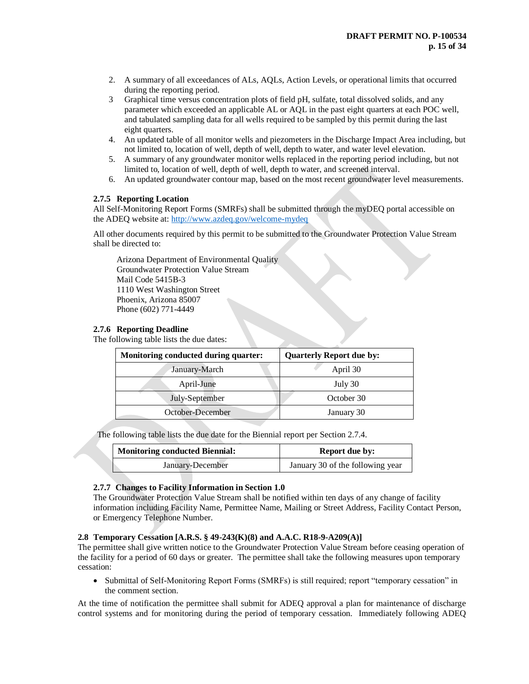- 2. A summary of all exceedances of ALs, AQLs, Action Levels, or operational limits that occurred during the reporting period.
- 3 Graphical time versus concentration plots of field pH, sulfate, total dissolved solids, and any parameter which exceeded an applicable AL or AQL in the past eight quarters at each POC well, and tabulated sampling data for all wells required to be sampled by this permit during the last eight quarters.
- 4. An updated table of all monitor wells and piezometers in the Discharge Impact Area including, but not limited to, location of well, depth of well, depth to water, and water level elevation.
- 5. A summary of any groundwater monitor wells replaced in the reporting period including, but not limited to, location of well, depth of well, depth to water, and screened interval.
- 6. An updated groundwater contour map, based on the most recent groundwater level measurements.

### **2.7.5 Reporting Location**

All Self-Monitoring Report Forms (SMRFs) shall be submitted through the myDEQ portal accessible on the ADEQ website at: <http://www.azdeq.gov/welcome-mydeq>

All other documents required by this permit to be submitted to the Groundwater Protection Value Stream shall be directed to:

Arizona Department of Environmental Quality Groundwater Protection Value Stream Mail Code 5415B-3 1110 West Washington Street Phoenix, Arizona 85007 Phone (602) 771-4449

### **2.7.6 Reporting Deadline**

The following table lists the due dates:

| Monitoring conducted during quarter: | <b>Quarterly Report due by:</b> |
|--------------------------------------|---------------------------------|
| January-March                        | April 30                        |
| April-June                           | July 30                         |
| July-September                       | October 30                      |
| October-December                     | January 30                      |

The following table lists the due date for the Biennial report per Section 2.7.4.

| Monitoring conducted Biennial: | <b>Report due by:</b>            |  |  |
|--------------------------------|----------------------------------|--|--|
| January-December               | January 30 of the following year |  |  |

#### **2.7.7 Changes to Facility Information in Section 1.0**

The Groundwater Protection Value Stream shall be notified within ten days of any change of facility information including Facility Name, Permittee Name, Mailing or Street Address, Facility Contact Person, or Emergency Telephone Number.

#### **2.8 Temporary Cessation [A.R.S. § 49-243(K)(8) and A.A.C. R18-9-A209(A)]**

The permittee shall give written notice to the Groundwater Protection Value Stream before ceasing operation of the facility for a period of 60 days or greater. The permittee shall take the following measures upon temporary cessation:

• Submittal of Self-Monitoring Report Forms (SMRFs) is still required; report "temporary cessation" in the comment section.

At the time of notification the permittee shall submit for ADEQ approval a plan for maintenance of discharge control systems and for monitoring during the period of temporary cessation. Immediately following ADEQ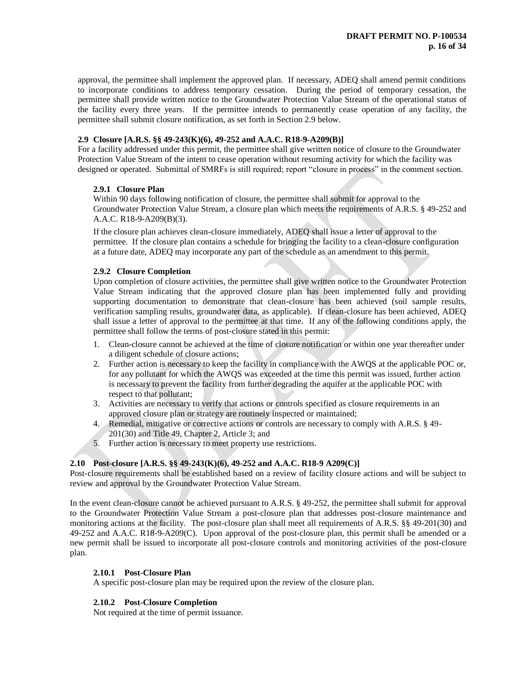approval, the permittee shall implement the approved plan. If necessary, ADEQ shall amend permit conditions to incorporate conditions to address temporary cessation. During the period of temporary cessation, the permittee shall provide written notice to the Groundwater Protection Value Stream of the operational status of the facility every three years. If the permittee intends to permanently cease operation of any facility, the permittee shall submit closure notification, as set forth in Section 2.9 below.

# **2.9 Closure [A.R.S. §§ 49-243(K)(6), 49-252 and A.A.C. R18-9-A209(B)]**

For a facility addressed under this permit, the permittee shall give written notice of closure to the Groundwater Protection Value Stream of the intent to cease operation without resuming activity for which the facility was designed or operated. Submittal of SMRFs is still required; report "closure in process" in the comment section.

### **2.9.1 Closure Plan**

Within 90 days following notification of closure, the permittee shall submit for approval to the Groundwater Protection Value Stream, a closure plan which meets the requirements of A.R.S. § 49-252 and A.A.C. R18-9-A209(B)(3).

If the closure plan achieves clean-closure immediately, ADEQ shall issue a letter of approval to the permittee. If the closure plan contains a schedule for bringing the facility to a clean-closure configuration at a future date, ADEQ may incorporate any part of the schedule as an amendment to this permit.

### **2.9.2 Closure Completion**

Upon completion of closure activities, the permittee shall give written notice to the Groundwater Protection Value Stream indicating that the approved closure plan has been implemented fully and providing supporting documentation to demonstrate that clean-closure has been achieved (soil sample results, verification sampling results, groundwater data, as applicable). If clean-closure has been achieved, ADEQ shall issue a letter of approval to the permittee at that time. If any of the following conditions apply, the permittee shall follow the terms of post-closure stated in this permit:

- 1. Clean-closure cannot be achieved at the time of closure notification or within one year thereafter under a diligent schedule of closure actions;
- 2. Further action is necessary to keep the facility in compliance with the AWQS at the applicable POC or, for any pollutant for which the AWQS was exceeded at the time this permit was issued, further action is necessary to prevent the facility from further degrading the aquifer at the applicable POC with respect to that pollutant;
- 3. Activities are necessary to verify that actions or controls specified as closure requirements in an approved closure plan or strategy are routinely inspected or maintained;
- 4. Remedial, mitigative or corrective actions or controls are necessary to comply with A.R.S. § 49- 201(30) and Title 49, Chapter 2, Article 3; and
- 5. Further action is necessary to meet property use restrictions.

# **2.10 Post-closure [A.R.S. §§ 49-243(K)(6), 49-252 and A.A.C. R18-9 A209(C)]**

Post-closure requirements shall be established based on a review of facility closure actions and will be subject to review and approval by the Groundwater Protection Value Stream.

In the event clean-closure cannot be achieved pursuant to A.R.S. § 49-252, the permittee shall submit for approval to the Groundwater Protection Value Stream a post-closure plan that addresses post-closure maintenance and monitoring actions at the facility. The post-closure plan shall meet all requirements of A.R.S. §§ 49-201(30) and 49-252 and A.A.C. R18-9-A209(C). Upon approval of the post-closure plan, this permit shall be amended or a new permit shall be issued to incorporate all post-closure controls and monitoring activities of the post-closure plan.

#### **2.10.1 Post-Closure Plan**

A specific post-closure plan may be required upon the review of the closure plan.

# **2.10.2 Post-Closure Completion**

Not required at the time of permit issuance.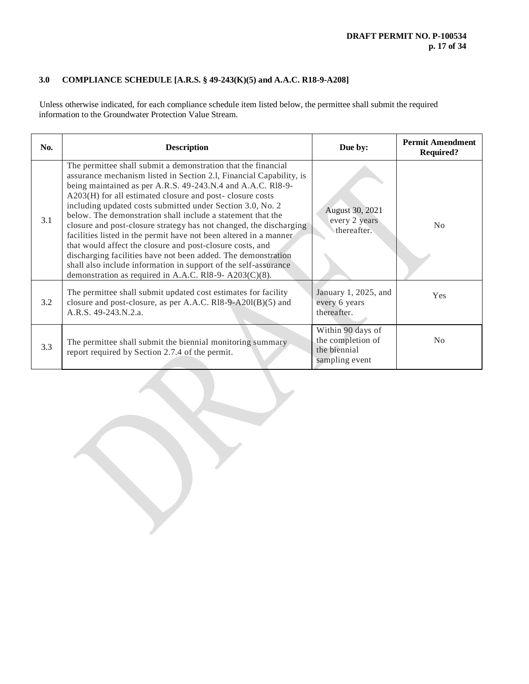# **3.0 COMPLIANCE SCHEDULE [A.R.S. § 49-243(K)(5) and A.A.C. R18-9-A208]**

Unless otherwise indicated, for each compliance schedule item listed below, the permittee shall submit the required information to the Groundwater Protection Value Stream.

| No. | <b>Description</b>                                                                                                                                                                                                                                                                                                                                                                                                                                                                                                                                                                                                                                                                                                                                                                                    | Due by:                                                                  | <b>Permit Amendment</b><br><b>Required?</b> |
|-----|-------------------------------------------------------------------------------------------------------------------------------------------------------------------------------------------------------------------------------------------------------------------------------------------------------------------------------------------------------------------------------------------------------------------------------------------------------------------------------------------------------------------------------------------------------------------------------------------------------------------------------------------------------------------------------------------------------------------------------------------------------------------------------------------------------|--------------------------------------------------------------------------|---------------------------------------------|
| 3.1 | The permittee shall submit a demonstration that the financial<br>assurance mechanism listed in Section 2.1, Financial Capability, is<br>being maintained as per A.R.S. 49-243.N.4 and A.A.C. R18-9-<br>A203(H) for all estimated closure and post-closure costs<br>including updated costs submitted under Section 3.0, No. 2<br>below. The demonstration shall include a statement that the<br>closure and post-closure strategy has not changed, the discharging<br>facilities listed in the permit have not been altered in a manner<br>that would affect the closure and post-closure costs, and<br>discharging facilities have not been added. The demonstration<br>shall also include information in support of the self-assurance<br>demonstration as required in A.A.C. R18-9- $A203(C)(8)$ . | August 30, 2021<br>every 2 years<br>thereafter.                          | No                                          |
| 3.2 | The permittee shall submit updated cost estimates for facility<br>closure and post-closure, as per A.A.C. R18-9-A201(B)(5) and<br>A.R.S. 49-243.N.2.a.                                                                                                                                                                                                                                                                                                                                                                                                                                                                                                                                                                                                                                                | January 1, 2025, and<br>every 6 years<br>thereafter.                     | <b>Yes</b>                                  |
| 3.3 | The permittee shall submit the biennial monitoring summary<br>report required by Section 2.7.4 of the permit.                                                                                                                                                                                                                                                                                                                                                                                                                                                                                                                                                                                                                                                                                         | Within 90 days of<br>the completion of<br>the biennial<br>sampling event | N <sub>0</sub>                              |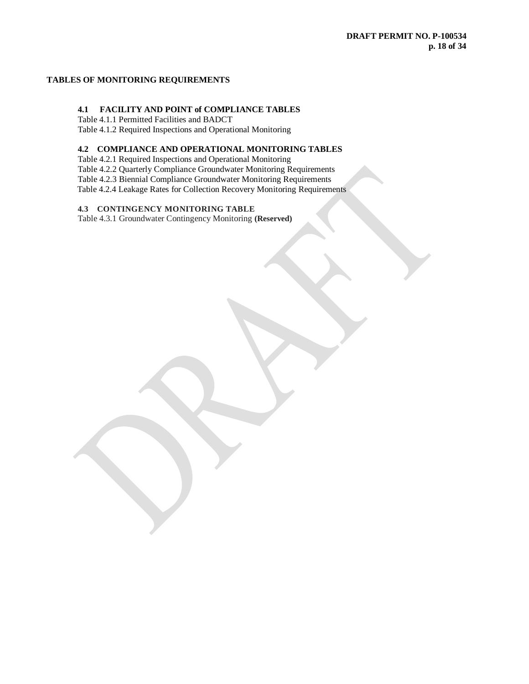# **TABLES OF MONITORING REQUIREMENTS**

# **4.1 FACILITY AND POINT of COMPLIANCE TABLES**

Table 4.1.1 Permitted Facilities and BADCT Table 4.1.2 Required Inspections and Operational Monitoring

# **4.2 COMPLIANCE AND OPERATIONAL MONITORING TABLES**

Table 4.2.1 Required Inspections and Operational Monitoring Table 4.2.2 Quarterly Compliance Groundwater Monitoring Requirements Table 4.2.3 Biennial Compliance Groundwater Monitoring Requirements Table 4.2.4 Leakage Rates for Collection Recovery Monitoring Requirements

# **4.3 CONTINGENCY MONITORING TABLE**

Table 4.3.1 Groundwater Contingency Monitoring **(Reserved)**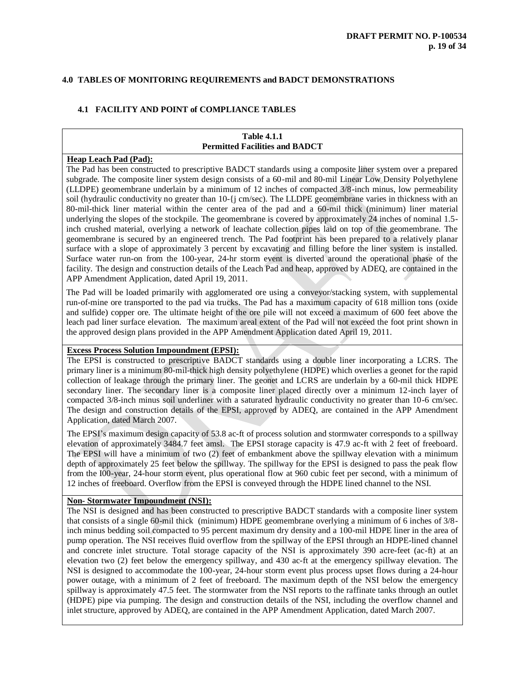# **4.0 TABLES OF MONITORING REQUIREMENTS and BADCT DEMONSTRATIONS**

# **4.1 FACILITY AND POINT of COMPLIANCE TABLES**

### **Table 4.1.1 Permitted Facilities and BADCT**

#### **Heap Leach Pad (Pad):**

The Pad has been constructed to prescriptive BADCT standards using a composite liner system over a prepared subgrade. The composite liner system design consists of a 60-mil and 80-mil Linear Low Density Polyethylene (LLDPE) geomembrane underlain by a minimum of 12 inches of compacted 3/8-inch minus, low permeability soil (hydraulic conductivity no greater than 10-{j cm/sec). The LLDPE geomembrane varies in thickness with an 80-mil-thick liner material within the center area of the pad and a 60-mil thick (minimum) liner material underlying the slopes of the stockpile. The geomembrane is covered by approximately 24 inches of nominal 1.5 inch crushed material, overlying a network of leachate collection pipes laid on top of the geomembrane. The geomembrane is secured by an engineered trench. The Pad footprint has been prepared to a relatively planar surface with a slope of approximately 3 percent by excavating and filling before the liner system is installed. Surface water run-on from the 100-year, 24-hr storm event is diverted around the operational phase of the facility. The design and construction details of the Leach Pad and heap, approved by ADEQ, are contained in the APP Amendment Application, dated April 19, 2011.

The Pad will be loaded primarily with agglomerated ore using a conveyor/stacking system, with supplemental run-of-mine ore transported to the pad via trucks. The Pad has a maximum capacity of 618 million tons (oxide and sulfide) copper ore. The ultimate height of the ore pile will not exceed a maximum of 600 feet above the leach pad liner surface elevation. The maximum areal extent of the Pad will not exceed the foot print shown in the approved design plans provided in the APP Amendment Application dated April 19, 2011.

## **Excess Process Solution Impoundment (EPSI):**

The EPSI is constructed to prescriptive BADCT standards using a double liner incorporating a LCRS. The primary liner is a minimum 80-mil-thick high density polyethylene (HDPE) which overlies a geonet for the rapid collection of leakage through the primary liner. The geonet and LCRS are underlain by a 60-mil thick HDPE secondary liner. The secondary liner is a composite liner placed directly over a minimum 12-inch layer of compacted 3/8-inch minus soil underliner with a saturated hydraulic conductivity no greater than 10-6 cm/sec. The design and construction details of the EPSI, approved by ADEQ, are contained in the APP Amendment Application, dated March 2007.

The EPSI's maximum design capacity of 53.8 ac-ft of process solution and stormwater corresponds to a spillway elevation of approximately 3484.7 feet amsl. The EPSI storage capacity is 47.9 ac-ft with 2 feet of freeboard. The EPSI will have a minimum of two (2) feet of embankment above the spillway elevation with a minimum depth of approximately 25 feet below the spillway. The spillway for the EPSI is designed to pass the peak flow from the I00-year, 24-hour storm event, plus operational flow at 960 cubic feet per second, with a minimum of 12 inches of freeboard. Overflow from the EPSI is conveyed through the HDPE lined channel to the NSI.

# **Non- Stormwater Impoundment (NSI):**

The NSI is designed and has been constructed to prescriptive BADCT standards with a composite liner system that consists of a single 60-mil thick (minimum) HDPE geomembrane overlying a minimum of 6 inches of 3/8 inch minus bedding soil compacted to 95 percent maximum dry density and a 100-mil HDPE liner in the area of pump operation. The NSI receives fluid overflow from the spillway of the EPSI through an HDPE-lined channel and concrete inlet structure. Total storage capacity of the NSI is approximately 390 acre-feet (ac-ft) at an elevation two (2) feet below the emergency spillway, and 430 ac-ft at the emergency spillway elevation. The NSI is designed to accommodate the 100-year, 24-hour storm event plus process upset flows during a 24-hour power outage, with a minimum of 2 feet of freeboard. The maximum depth of the NSI below the emergency spillway is approximately 47.5 feet. The stormwater from the NSI reports to the raffinate tanks through an outlet (HDPE) pipe via pumping. The design and construction details of the NSI, including the overflow channel and inlet structure, approved by ADEQ, are contained in the APP Amendment Application, dated March 2007.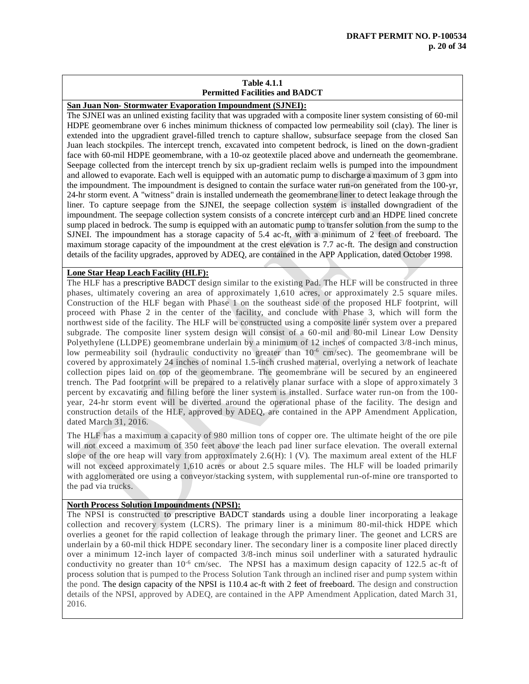# **Table 4.1.1 Permitted Facilities and BADCT**

**San Juan Non- Stormwater Evaporation Impoundment (SJNEI):**

The SJNEI was an unlined existing facility that was upgraded with a composite liner system consisting of 60-mil HDPE geomembrane over 6 inches minimum thickness of compacted low permeability soil (clay). The liner is extended into the upgradient gravel-filled trench to capture shallow, subsurface seepage from the closed San Juan leach stockpiles. The intercept trench, excavated into competent bedrock, is lined on the down-gradient face with 60-mil HDPE geomembrane, with a 10-oz geotextile placed above and underneath the geomembrane. Seepage collected from the intercept trench by six up-gradient reclaim wells is pumped into the impoundment and allowed to evaporate. Each well is equipped with an automatic pump to discharge a maximum of 3 gpm into the impoundment. The impoundment is designed to contain the surface water run-on generated from the 100-yr, 24-hr storm event. A "witness" drain is installed underneath the geomembrane liner to detect leakage through the liner. To capture seepage from the SJNEI, the seepage collection system is installed downgradient of the impoundment. The seepage collection system consists of a concrete intercept curb and an HDPE lined concrete sump placed in bedrock. The sump is equipped with an automatic pump to transfer solution from the sump to the SJNEI. The impoundment has a storage capacity of 5.4 ac-ft, with a minimum of 2 feet of freeboard. The maximum storage capacity of the impoundment at the crest elevation is 7.7 ac-ft. The design and construction details of the facility upgrades, approved by ADEQ, are contained in the APP Application, dated October 1998.

# **Lone Star Heap Leach Facility (HLF):**

The HLF has a prescriptive BADCT design similar to the existing Pad. The HLF will be constructed in three phases, ultimately covering an area of approximately 1,610 acres, or approximately 2.5 square miles. Construction of the HLF began with Phase 1 on the southeast side of the proposed HLF footprint, will proceed with Phase 2 in the center of the facility, and conclude with Phase 3, which will form the northwest side of the facility. The HLF will be constructed using a composite liner system over a prepared subgrade. The composite liner system design will consist of a 60-mil and 80-mil Linear Low Density Polyethylene (LLDPE) geomembrane underlain by a minimum of 12 inches of compacted 3/8-inch minus, low permeability soil (hydraulic conductivity no greater than 10<sup>-6</sup> cm/sec). The geomembrane will be covered by approximately 24 inches of nominal 1.5-inch crushed material, overlying a network of leachate collection pipes laid on top of the geomembrane. The geomembrane will be secured by an engineered trench. The Pad footprint will be prepared to a relatively planar surface with a slope of appro ximately 3 percent by excavating and filling before the liner system is installed. Surface water run-on from the 100 year, 24-hr storm event will be diverted around the operational phase of the facility. The design and construction details of the HLF, approved by ADEQ, are contained in the APP Amendment Application, dated March 31, 2016.

The HLF has a maximum a capacity of 980 million tons of copper ore. The ultimate height of the ore pile will not exceed a maximum of 350 feet above the leach pad liner surface elevation. The overall external slope of the ore heap will vary from approximately 2.6(H): l (V). The maximum areal extent of the HLF will not exceed approximately 1,610 acres or about 2.5 square miles. The HLF will be loaded primarily with agglomerated ore using a conveyor/stacking system, with supplemental run-of-mine ore transported to the pad via trucks.

#### **North Process Solution Impoundments (NPSI):**

The NPSI is constructed to prescriptive BADCT standards using a double liner incorporating a leakage collection and recovery system (LCRS)*.* The primary liner is a minimum 80-mil-thick HDPE which overlies a geonet for the rapid collection of leakage through the primary liner. The geonet and LCRS are underlain by a 60-mil thick HDPE secondary liner. The secondary liner is a composite liner placed directly over a minimum 12-inch layer of compacted 3/8-inch minus soil underliner with a saturated hydraulic conductivity no greater than 10<sup>-6</sup> cm/sec. The NPSI has a maximum design capacity of 122.5 ac-ft of process solution that is pumped to the Process Solution Tank through an inclined riser and pump system within the pond. The design capacity of the NPSI is 110.4 ac-ft with 2 feet of freeboard. The design and construction details of the NPSI, approved by ADEQ, are contained in the APP Amendment Application, dated March 31, 2016.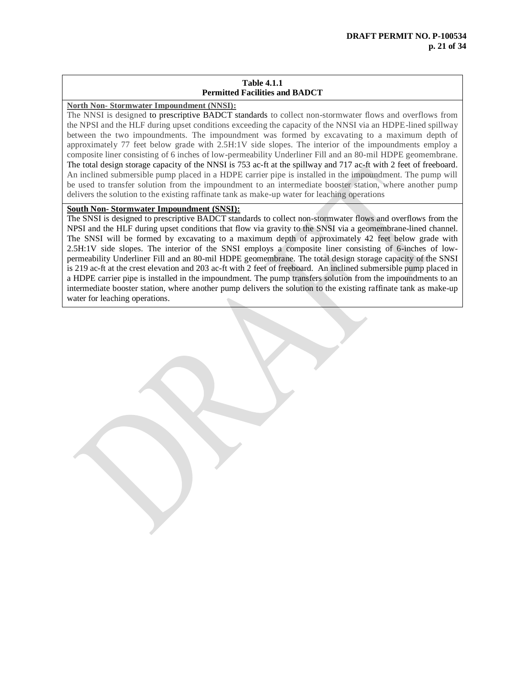# **Table 4.1.1 Permitted Facilities and BADCT**

# **North Non- Stormwater Impoundment (NNSI):**

The NNSI is designed to prescriptive BADCT standards to collect non-stormwater flows and overflows from the NPSI and the HLF during upset conditions exceeding the capacity of the NNSI via an HDPE-lined spillway between the two impoundments. The impoundment was formed by excavating to a maximum depth of approximately 77 feet below grade with 2.5H:1V side slopes. The interior of the impoundments employ a composite liner consisting of 6 inches of low-permeability Underliner Fill and an 80-mil HDPE geomembrane. The total design storage capacity of the NNSI is 753 ac-ft at the spillway and 717 ac-ft with 2 feet of freeboard. An inclined submersible pump placed in a HDPE carrier pipe is installed in the impoundment. The pump will be used to transfer solution from the impoundment to an intermediate booster station, where another pump delivers the solution to the existing raffinate tank as make-up water for leaching operations

# **South Non- Stormwater Impoundment (SNSI):**

The SNSI is designed to prescriptive BADCT standards to collect non-stormwater flows and overflows from the NPSI and the HLF during upset conditions that flow via gravity to the SNSI via a geomembrane-lined channel. The SNSI will be formed by excavating to a maximum depth of approximately 42 feet below grade with 2.5H:1V side slopes. The interior of the SNSI employs a composite liner consisting of 6-inches of lowpermeability Underliner Fill and an 80-mil HDPE geomembrane. The total design storage capacity of the SNSI is 219 ac-ft at the crest elevation and 203 ac-ft with 2 feet of freeboard. An inclined submersible pump placed in a HDPE carrier pipe is installed in the impoundment. The pump transfers solution from the impoundments to an intermediate booster station, where another pump delivers the solution to the existing raffinate tank as make-up water for leaching operations.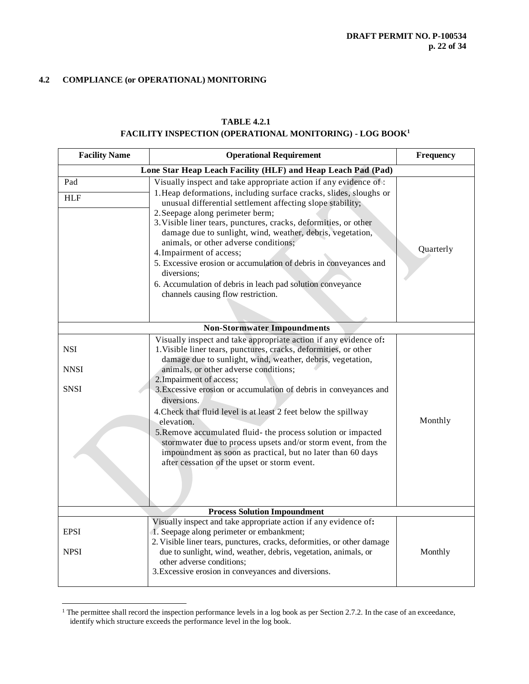# **4.2 COMPLIANCE (or OPERATIONAL) MONITORING**

 $\overline{a}$ 

# **TABLE 4.2.1**

# **FACILITY INSPECTION (OPERATIONAL MONITORING) - LOG BOOK<sup>1</sup>**

| <b>Facility Name</b>              | <b>Operational Requirement</b>                                                                                                                                                                                                                                                                                                                                                                                                                                                                                                                                                                                                                                                                | Frequency |
|-----------------------------------|-----------------------------------------------------------------------------------------------------------------------------------------------------------------------------------------------------------------------------------------------------------------------------------------------------------------------------------------------------------------------------------------------------------------------------------------------------------------------------------------------------------------------------------------------------------------------------------------------------------------------------------------------------------------------------------------------|-----------|
|                                   | Lone Star Heap Leach Facility (HLF) and Heap Leach Pad (Pad)                                                                                                                                                                                                                                                                                                                                                                                                                                                                                                                                                                                                                                  |           |
| Pad<br><b>HLF</b>                 | Visually inspect and take appropriate action if any evidence of:<br>1. Heap deformations, including surface cracks, slides, sloughs or<br>unusual differential settlement affecting slope stability;<br>2. Seepage along perimeter berm;<br>3. Visible liner tears, punctures, cracks, deformities, or other<br>damage due to sunlight, wind, weather, debris, vegetation,<br>animals, or other adverse conditions;<br>4. Impairment of access;<br>5. Excessive erosion or accumulation of debris in conveyances and<br>diversions;<br>6. Accumulation of debris in leach pad solution conveyance<br>channels causing flow restriction.                                                       | Quarterly |
|                                   | <b>Non-Stormwater Impoundments</b>                                                                                                                                                                                                                                                                                                                                                                                                                                                                                                                                                                                                                                                            |           |
| <b>NSI</b><br><b>NNSI</b><br>SNSI | Visually inspect and take appropriate action if any evidence of:<br>1. Visible liner tears, punctures, cracks, deformities, or other<br>damage due to sunlight, wind, weather, debris, vegetation,<br>animals, or other adverse conditions;<br>2. Impairment of access;<br>3. Excessive erosion or accumulation of debris in conveyances and<br>diversions.<br>4. Check that fluid level is at least 2 feet below the spillway<br>elevation.<br>5. Remove accumulated fluid- the process solution or impacted<br>stormwater due to process upsets and/or storm event, from the<br>impoundment as soon as practical, but no later than 60 days<br>after cessation of the upset or storm event. | Monthly   |
|                                   | <b>Process Solution Impoundment</b>                                                                                                                                                                                                                                                                                                                                                                                                                                                                                                                                                                                                                                                           |           |
| <b>EPSI</b><br><b>NPSI</b>        | Visually inspect and take appropriate action if any evidence of:<br>1. Seepage along perimeter or embankment;<br>2. Visible liner tears, punctures, cracks, deformities, or other damage<br>due to sunlight, wind, weather, debris, vegetation, animals, or<br>other adverse conditions;<br>3. Excessive erosion in conveyances and diversions.                                                                                                                                                                                                                                                                                                                                               | Monthly   |

<sup>&</sup>lt;sup>1</sup> The permittee shall record the inspection performance levels in a log book as per Section 2.7.2. In the case of an exceedance, identify which structure exceeds the performance level in the log book.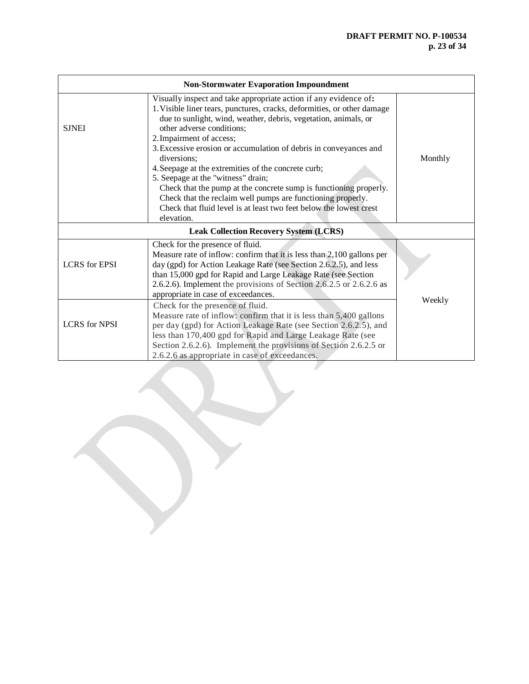| <b>Non-Stormwater Evaporation Impoundment</b> |                                                                                                                                                                                                                                                                                                                                                                 |        |  |  |  |
|-----------------------------------------------|-----------------------------------------------------------------------------------------------------------------------------------------------------------------------------------------------------------------------------------------------------------------------------------------------------------------------------------------------------------------|--------|--|--|--|
| <b>SJNEI</b>                                  | Monthly                                                                                                                                                                                                                                                                                                                                                         |        |  |  |  |
|                                               | <b>Leak Collection Recovery System (LCRS)</b>                                                                                                                                                                                                                                                                                                                   |        |  |  |  |
| <b>LCRS</b> for EPSI                          | Check for the presence of fluid.<br>Measure rate of inflow: confirm that it is less than 2,100 gallons per<br>day (gpd) for Action Leakage Rate (see Section 2.6.2.5), and less<br>than 15,000 gpd for Rapid and Large Leakage Rate (see Section<br>2.6.2.6). Implement the provisions of Section 2.6.2.5 or 2.6.2.6 as<br>appropriate in case of exceedances.  |        |  |  |  |
| <b>LCRS</b> for NPSI                          | Check for the presence of fluid.<br>Measure rate of inflow: confirm that it is less than 5,400 gallons<br>per day (gpd) for Action Leakage Rate (see Section 2.6.2.5), and<br>less than 170,400 gpd for Rapid and Large Leakage Rate (see<br>Section 2.6.2.6). Implement the provisions of Section 2.6.2.5 or<br>2.6.2.6 as appropriate in case of exceedances. | Weekly |  |  |  |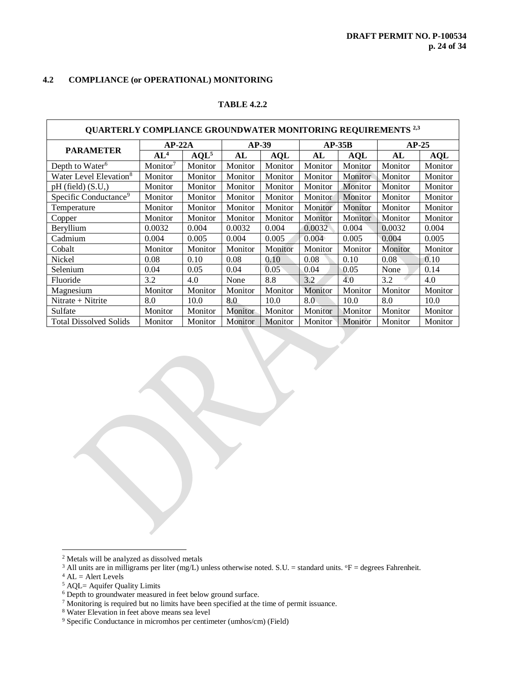# **4.2 COMPLIANCE (or OPERATIONAL) MONITORING**

# **TABLE 4.2.2**

| <b>QUARTERLY COMPLIANCE GROUNDWATER MONITORING REQUIREMENTS 2.3</b> |                      |                  |         |            |          |            |         |            |
|---------------------------------------------------------------------|----------------------|------------------|---------|------------|----------|------------|---------|------------|
| <b>PARAMETER</b>                                                    |                      | $AP-22A$         |         | $AP-39$    | $AP-35B$ |            | $AP-25$ |            |
|                                                                     | AL <sup>4</sup>      | AQL <sup>5</sup> | AL      | <b>AQL</b> | AL       | <b>AQL</b> | AL      | <b>AQL</b> |
| Depth to Water <sup>6</sup>                                         | Monitor <sup>7</sup> | Monitor          | Monitor | Monitor    | Monitor  | Monitor    | Monitor | Monitor    |
| Water Level Elevation <sup>8</sup>                                  | Monitor              | Monitor          | Monitor | Monitor    | Monitor  | Monitor    | Monitor | Monitor    |
| $pH$ (field) $(S.U.)$                                               | Monitor              | Monitor          | Monitor | Monitor    | Monitor  | Monitor    | Monitor | Monitor    |
| Specific Conductance <sup>9</sup>                                   | Monitor              | Monitor          | Monitor | Monitor    | Monitor  | Monitor    | Monitor | Monitor    |
| Temperature                                                         | Monitor              | Monitor          | Monitor | Monitor    | Monitor  | Monitor    | Monitor | Monitor    |
| Copper                                                              | Monitor              | Monitor          | Monitor | Monitor    | Monitor  | Monitor    | Monitor | Monitor    |
| Beryllium                                                           | 0.0032               | 0.004            | 0.0032  | 0.004      | 0.0032   | 0.004      | 0.0032  | 0.004      |
| Cadmium                                                             | 0.004                | 0.005            | 0.004   | 0.005      | 0.004    | 0.005      | 0.004   | 0.005      |
| Cobalt                                                              | Monitor              | Monitor          | Monitor | Monitor    | Monitor  | Monitor    | Monitor | Monitor    |
| Nickel                                                              | 0.08                 | 0.10             | 0.08    | 0.10       | 0.08     | 0.10       | 0.08    | 0.10       |
| Selenium                                                            | 0.04                 | 0.05             | 0.04    | 0.05       | 0.04     | 0.05       | None    | 0.14       |
| Fluoride                                                            | 3.2                  | 4.0              | None    | 8.8        | 3.2      | 4.0        | 3.2     | 4.0        |
| Magnesium                                                           | Monitor              | Monitor          | Monitor | Monitor    | Monitor  | Monitor    | Monitor | Monitor    |
| Nitrate $+$ Nitrite                                                 | 8.0                  | 10.0             | 8.0     | 10.0       | 8.0      | 10.0       | 8.0     | 10.0       |
| Sulfate                                                             | Monitor              | Monitor          | Monitor | Monitor    | Monitor  | Monitor    | Monitor | Monitor    |
| <b>Total Dissolved Solids</b>                                       | Monitor              | Monitor          | Monitor | Monitor    | Monitor  | Monitor    | Monitor | Monitor    |

<sup>2</sup> Metals will be analyzed as dissolved metals

 $\overline{a}$ 

Г

<sup>&</sup>lt;sup>3</sup> All units are in milligrams per liter (mg/L) unless otherwise noted. S.U. = standard units.  $\mathrm{P}F =$  degrees Fahrenheit.

 $4$  AL = Alert Levels

 $5$  AQL= Aquifer Quality Limits

<sup>&</sup>lt;sup>6</sup> Depth to groundwater measured in feet below ground surface.

<sup>7</sup> Monitoring is required but no limits have been specified at the time of permit issuance.

<sup>8</sup> Water Elevation in feet above means sea level

<sup>9</sup> Specific Conductance in micromhos per centimeter (umhos/cm) (Field)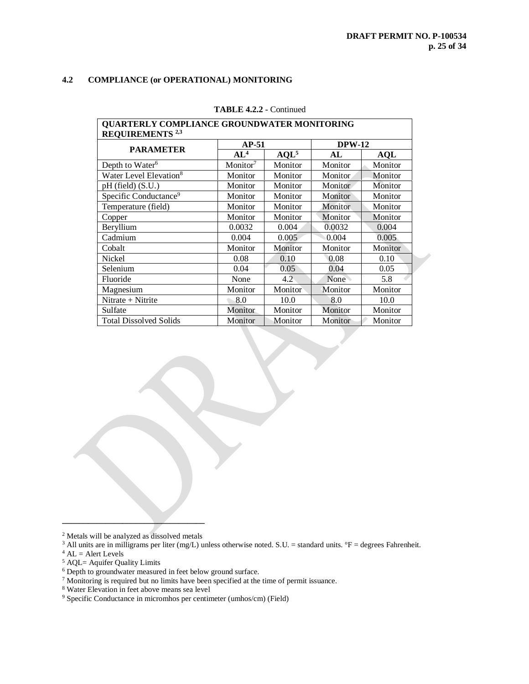# **4.2 COMPLIANCE (or OPERATIONAL) MONITORING**

| QUARTERLY COMPLIANCE GROUNDWATER MONITORING |                      |         |               |            |  |  |  |  |
|---------------------------------------------|----------------------|---------|---------------|------------|--|--|--|--|
| <b>REQUIREMENTS</b> <sup>2,3</sup>          |                      |         |               |            |  |  |  |  |
| <b>PARAMETER</b>                            | $AP-51$              |         | <b>DPW-12</b> |            |  |  |  |  |
|                                             | AL <sup>4</sup>      | $AQL^5$ | AL            | <b>AQL</b> |  |  |  |  |
| Depth to Water <sup>6</sup>                 | Monitor <sup>7</sup> | Monitor | Monitor       | Monitor    |  |  |  |  |
| Water Level Elevation <sup>8</sup>          | Monitor              | Monitor | Monitor       | Monitor    |  |  |  |  |
| $pH$ (field) $(S.U.)$                       | Monitor              | Monitor | Monitor       | Monitor    |  |  |  |  |
| Specific Conductance <sup>9</sup>           | Monitor              | Monitor | Monitor       | Monitor    |  |  |  |  |
| Temperature (field)                         | Monitor              | Monitor | Monitor       | Monitor    |  |  |  |  |
| Copper                                      | Monitor              | Monitor | Monitor       | Monitor    |  |  |  |  |
| Beryllium                                   | 0.0032               | 0.004   | 0.0032        | 0.004      |  |  |  |  |
| Cadmium                                     | 0.004                | 0.005   | 0.004         | 0.005      |  |  |  |  |
| Cobalt                                      | Monitor              | Monitor | Monitor       | Monitor    |  |  |  |  |
| Nickel                                      | 0.08                 | 0.10    | 0.08          | 0.10       |  |  |  |  |
| Selenium                                    | 0.04                 | 0.05    | 0.04          | 0.05       |  |  |  |  |
| Fluoride                                    | None                 | 4.2     | None          | 5.8        |  |  |  |  |
| Magnesium                                   | Monitor              | Monitor | Monitor       | Monitor    |  |  |  |  |
| Nitrate + Nitrite                           | 8.0                  | 10.0    | 8.0           | 10.0       |  |  |  |  |
| Sulfate                                     | Monitor              | Monitor | Monitor       | Monitor    |  |  |  |  |
| <b>Total Dissolved Solids</b>               | Monitor              | Monitor | Monitor       | Monitor    |  |  |  |  |

#### **TABLE 4.2.2 -** Continued

**\_\_\_\_\_\_\_\_\_\_\_\_\_\_\_\_\_\_\_\_\_\_\_\_\_\_\_\_\_\_\_\_\_** <sup>2</sup> Metals will be analyzed as dissolved metals

<sup>3</sup> All units are in milligrams per liter (mg/L) unless otherwise noted. S.U. = standard units.  ${}^{\circ}$ F = degrees Fahrenheit.

- $4$  AL = Alert Levels
- <sup>5</sup> AQL= Aquifer Quality Limits

- <sup>7</sup> Monitoring is required but no limits have been specified at the time of permit issuance.
- <sup>8</sup> Water Elevation in feet above means sea level

<sup>&</sup>lt;sup>6</sup> Depth to groundwater measured in feet below ground surface.

<sup>9</sup> Specific Conductance in micromhos per centimeter (umhos/cm) (Field)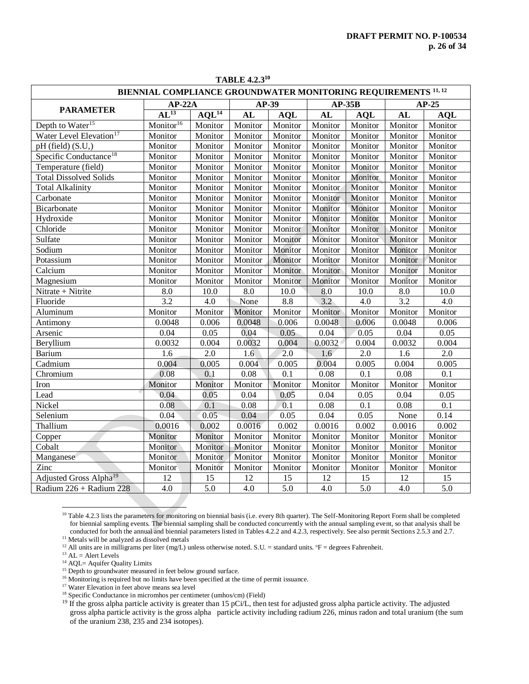| <b>TABLE 4.2.310</b>                |                                                                          |                   |         |            |         |            |         |            |  |
|-------------------------------------|--------------------------------------------------------------------------|-------------------|---------|------------|---------|------------|---------|------------|--|
|                                     | BIENNIAL COMPLIANCE GROUNDWATER MONITORING REQUIREMENTS <sup>11,12</sup> |                   |         |            |         |            |         |            |  |
| <b>PARAMETER</b>                    | $AP-22A$                                                                 |                   |         | AP-39      |         | $AP-35B$   | $AP-25$ |            |  |
|                                     | $AL^{13}$                                                                | AOL <sup>14</sup> | AL      | <b>AQL</b> | AL      | <b>AQL</b> | AL      | <b>AQL</b> |  |
| Depth to Water <sup>15</sup>        | Monitor <sup>16</sup>                                                    | Monitor           | Monitor | Monitor    | Monitor | Monitor    | Monitor | Monitor    |  |
| Water Level Elevation <sup>17</sup> | Monitor                                                                  | Monitor           | Monitor | Monitor    | Monitor | Monitor    | Monitor | Monitor    |  |
| pH (field) (S.U,)                   | Monitor                                                                  | Monitor           | Monitor | Monitor    | Monitor | Monitor    | Monitor | Monitor    |  |
| Specific Conductance <sup>18</sup>  | Monitor                                                                  | Monitor           | Monitor | Monitor    | Monitor | Monitor    | Monitor | Monitor    |  |
| Temperature (field)                 | Monitor                                                                  | Monitor           | Monitor | Monitor    | Monitor | Monitor    | Monitor | Monitor    |  |
| <b>Total Dissolved Solids</b>       | Monitor                                                                  | Monitor           | Monitor | Monitor    | Monitor | Monitor    | Monitor | Monitor    |  |
| <b>Total Alkalinity</b>             | Monitor                                                                  | Monitor           | Monitor | Monitor    | Monitor | Monitor    | Monitor | Monitor    |  |
| Carbonate                           | Monitor                                                                  | Monitor           | Monitor | Monitor    | Monitor | Monitor    | Monitor | Monitor    |  |
| Bicarbonate                         | Monitor                                                                  | Monitor           | Monitor | Monitor    | Monitor | Monitor    | Monitor | Monitor    |  |
| Hydroxide                           | Monitor                                                                  | Monitor           | Monitor | Monitor    | Monitor | Monitor    | Monitor | Monitor    |  |
| Chloride                            | Monitor                                                                  | Monitor           | Monitor | Monitor    | Monitor | Monitor    | Monitor | Monitor    |  |
| Sulfate                             | Monitor                                                                  | Monitor           | Monitor | Monitor    | Monitor | Monitor    | Monitor | Monitor    |  |
| Sodium                              | Monitor                                                                  | Monitor           | Monitor | Monitor    | Monitor | Monitor    | Monitor | Monitor    |  |
| Potassium                           | Monitor                                                                  | Monitor           | Monitor | Monitor    | Monitor | Monitor    | Monitor | Monitor    |  |
| Calcium                             | Monitor                                                                  | Monitor           | Monitor | Monitor    | Monitor | Monitor    | Monitor | Monitor    |  |
| Magnesium                           | Monitor                                                                  | Monitor           | Monitor | Monitor    | Monitor | Monitor    | Monitor | Monitor    |  |
| Nitrate + Nitrite                   | 8.0                                                                      | 10.0              | 8.0     | 10.0       | 8.0     | 10.0       | 8.0     | 10.0       |  |
| Fluoride                            | 3.2                                                                      | 4.0               | None    | 8.8        | 3.2     | 4.0        | 3.2     | 4.0        |  |
| Aluminum                            | Monitor                                                                  | Monitor           | Monitor | Monitor    | Monitor | Monitor    | Monitor | Monitor    |  |
| Antimony                            | 0.0048                                                                   | 0.006             | 0.0048  | 0.006      | 0.0048  | 0.006      | 0.0048  | 0.006      |  |
| Arsenic                             | 0.04                                                                     | 0.05              | 0.04    | 0.05       | 0.04    | 0.05       | 0.04    | 0.05       |  |
| Beryllium                           | 0.0032                                                                   | 0.004             | 0.0032  | 0.004      | 0.0032  | 0.004      | 0.0032  | 0.004      |  |
| Barium                              | 1.6                                                                      | 2.0               | 1.6     | 2.0        | 1.6     | 2.0        | 1.6     | 2.0        |  |
| Cadmium                             | 0.004                                                                    | 0.005             | 0.004   | 0.005      | 0.004   | 0.005      | 0.004   | 0.005      |  |
| Chromium                            | 0.08                                                                     | 0.1               | 0.08    | 0.1        | 0.08    | 0.1        | 0.08    | 0.1        |  |
| Iron                                | Monitor                                                                  | Monitor           | Monitor | Monitor    | Monitor | Monitor    | Monitor | Monitor    |  |
| Lead                                | 0.04                                                                     | 0.05              | 0.04    | 0.05       | 0.04    | 0.05       | 0.04    | 0.05       |  |
| Nickel                              | 0.08                                                                     | 0.1               | 0.08    | 0.1        | 0.08    | 0.1        | 0.08    | 0.1        |  |
| Selenium                            | 0.04                                                                     | 0.05              | 0.04    | 0.05       | 0.04    | 0.05       | None    | 0.14       |  |
| Thallium                            | 0.0016                                                                   | 0.002             | 0.0016  | 0.002      | 0.0016  | 0.002      | 0.0016  | 0.002      |  |
| Copper                              | Monitor                                                                  | Monitor           | Monitor | Monitor    | Monitor | Monitor    | Monitor | Monitor    |  |
| Cobalt                              | Monitor                                                                  | Monitor           | Monitor | Monitor    | Monitor | Monitor    | Monitor | Monitor    |  |
| Manganese                           | Monitor                                                                  | Monitor           | Monitor | Monitor    | Monitor | Monitor    | Monitor | Monitor    |  |
| Zinc                                | Monitor                                                                  | Monitor           | Monitor | Monitor    | Monitor | Monitor    | Monitor | Monitor    |  |
| Adjusted Gross Alpha <sup>19</sup>  | 12                                                                       | 15                | 12      | 15         | 12      | 15         | 12      | 15         |  |
| Radium 226 + Radium 228             | 4.0                                                                      | 5.0               | 4.0     | 5.0        | 4.0     | 5.0        | 4.0     | 5.0        |  |

<sup>&</sup>lt;sup>10</sup> Table 4.2.3 lists the parameters for monitoring on biennial basis (i.e. every 8th quarter). The Self-Monitoring Report Form shall be completed for biennial sampling events. The biennial sampling shall be conducted concurrently with the annual sampling event, so that analysis shall be conducted for both the annual and biennial parameters listed in Tables 4.2.2 and 4.2.3, respectively. See also permit Sections 2.5.3 and 2.7. <sup>11</sup> Metals will be analyzed as dissolved metals

- <sup>12</sup> All units are in milligrams per liter (mg/L) unless otherwise noted. S.U. = standard units.  $P =$  degrees Fahrenheit.
- $13 \text{ AL} =$  Alert Levels

 $\overline{a}$ 

<sup>&</sup>lt;sup>14</sup> AQL= Aquifer Quality Limits

<sup>&</sup>lt;sup>15</sup> Depth to groundwater measured in feet below ground surface.

<sup>&</sup>lt;sup>16</sup> Monitoring is required but no limits have been specified at the time of permit issuance.

<sup>&</sup>lt;sup>17</sup> Water Elevation in feet above means sea level

<sup>18</sup> Specific Conductance in micromhos per centimeter (umhos/cm) (Field)

<sup>&</sup>lt;sup>19</sup> If the gross alpha particle activity is greater than 15 pCi/L, then test for adjusted gross alpha particle activity. The adjusted gross alpha particle activity is the gross alpha particle activity including radium 226, minus radon and total uranium (the sum of the uranium 238, 235 and 234 isotopes).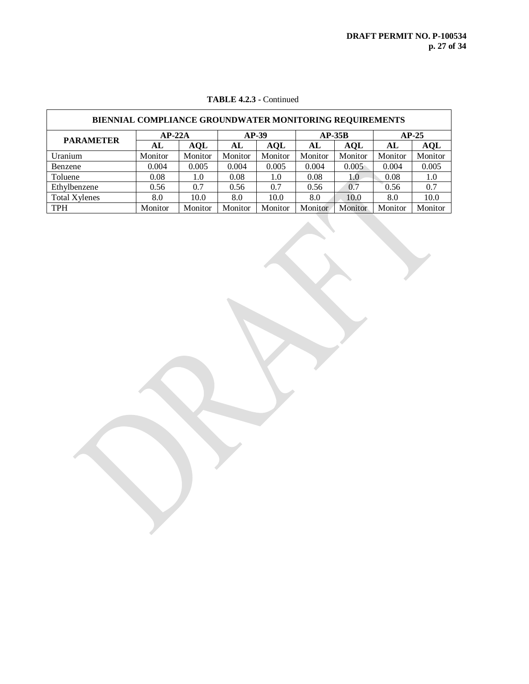| <b>BIENNIAL COMPLIANCE GROUNDWATER MONITORING REQUIREMENTS</b> |         |            |         |            |         |            |         |         |  |
|----------------------------------------------------------------|---------|------------|---------|------------|---------|------------|---------|---------|--|
| $AP-22A$<br>$AP-39$<br>$AP-35B$<br>$AP-25$                     |         |            |         |            |         |            |         |         |  |
| <b>PARAMETER</b>                                               | AL      | <b>AQL</b> | AL      | <b>AQL</b> | AL      | <b>AOL</b> | AL      | AQL     |  |
| Uranium                                                        | Monitor | Monitor    | Monitor | Monitor    | Monitor | Monitor    | Monitor | Monitor |  |
| Benzene                                                        | 0.004   | 0.005      | 0.004   | 0.005      | 0.004   | 0.005      | 0.004   | 0.005   |  |
| Toluene                                                        | 0.08    | 1.0        | 0.08    | 1.0        | 0.08    | 1.0        | 0.08    | 1.0     |  |
| Ethylbenzene                                                   | 0.56    | 0.7        | 0.56    | 0.7        | 0.56    | 0.7        | 0.56    | 0.7     |  |
| <b>Total Xylenes</b>                                           | 8.0     | 10.0       | 8.0     | 10.0       | 8.0     | 10.0       | 8.0     | 10.0    |  |
| <b>TPH</b>                                                     | Monitor | Monitor    | Monitor | Monitor    | Monitor | Monitor    | Monitor | Monitor |  |

# **TABLE 4.2.3 -** Continued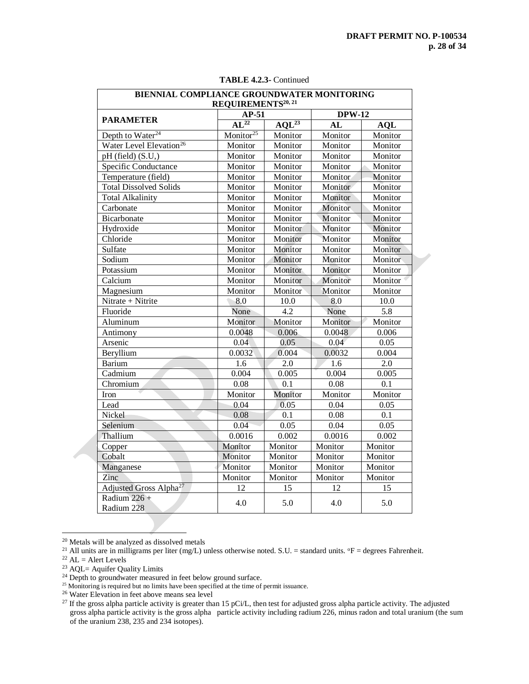| BIENNIAL COMPLIANCE GROUNDWATER MONITORING |                       |            |               |            |
|--------------------------------------------|-----------------------|------------|---------------|------------|
| REQUIREMENTS <sup>20, 21</sup>             |                       |            |               |            |
| <b>PARAMETER</b>                           | $AP-51$               |            | <b>DPW-12</b> |            |
|                                            | $AL^{22}$             | $AOL^{23}$ | AL            | <b>AQL</b> |
| Depth to Water <sup>24</sup>               | Monitor <sup>25</sup> | Monitor    | Monitor       | Monitor    |
| Water Level Elevation <sup>26</sup>        | Monitor               | Monitor    | Monitor       | Monitor    |
| pH (field) $(S.U.)$                        | Monitor               | Monitor    | Monitor       | Monitor    |
| Specific Conductance                       | Monitor               | Monitor    | Monitor       | Monitor    |
| Temperature (field)                        | Monitor               | Monitor    | Monitor       | Monitor    |
| <b>Total Dissolved Solids</b>              | Monitor               | Monitor    | Monitor       | Monitor    |
| <b>Total Alkalinity</b>                    | Monitor               | Monitor    | Monitor       | Monitor    |
| Carbonate                                  | Monitor               | Monitor    | Monitor       | Monitor    |
| Bicarbonate                                | Monitor               | Monitor    | Monitor       | Monitor    |
| Hydroxide                                  | Monitor               | Monitor    | Monitor       | Monitor    |
| Chloride                                   | Monitor               | Monitor    | Monitor       | Monitor    |
| Sulfate                                    | Monitor               | Monitor    | Monitor       | Monitor    |
| Sodium                                     | Monitor               | Monitor    | Monitor       | Monitor    |
| Potassium                                  | Monitor               | Monitor    | Monitor       | Monitor    |
| Calcium                                    | Monitor               | Monitor    | Monitor       | Monitor    |
| Magnesium                                  | Monitor               | Monitor    | Monitor       | Monitor    |
| Nitrate + Nitrite                          | 8.0                   | 10.0       | 8.0           | 10.0       |
| Fluoride                                   | None                  | 4.2        | None          | 5.8        |
| Aluminum                                   | Monitor               | Monitor    | Monitor       | Monitor    |
| Antimony                                   | 0.0048                | 0.006      | 0.0048        | 0.006      |
| Arsenic                                    | 0.04                  | 0.05       | 0.04          | 0.05       |
| Beryllium                                  | 0.0032                | 0.004      | 0.0032        | 0.004      |
| <b>Barium</b>                              | 1.6                   | 2.0        | 1.6           | 2.0        |
| Cadmium                                    | 0.004                 | 0.005      | 0.004         | 0.005      |
| Chromium                                   | 0.08                  | 0.1        | 0.08          | 0.1        |
| Iron                                       | Monitor               | Monitor    | Monitor       | Monitor    |
| Lead                                       | 0.04                  | 0.05       | 0.04          | 0.05       |
| Nickel                                     | 0.08                  | 0.1        | 0.08          | 0.1        |
| Selenium                                   | 0.04                  | 0.05       | 0.04          | 0.05       |
| Thallium                                   | 0.0016                | 0.002      | 0.0016        | 0.002      |
| Copper                                     | Monitor               | Monitor    | Monitor       | Monitor    |
| Cobalt                                     | Monitor               | Monitor    | Monitor       | Monitor    |
| Manganese                                  | Monitor               | Monitor    | Monitor       | Monitor    |
| Zinc                                       | Monitor               | Monitor    | Monitor       | Monitor    |
| Adjusted Gross Alpha <sup>27</sup>         | 12                    | 15         | 12            | 15         |
| Radium $226 +$<br>Radium 228               | 4.0                   | 5.0        | 4.0           | 5.0        |

**TABLE 4.2.3-** Continued

 $\overline{a}$ 

<sup>&</sup>lt;sup>20</sup> Metals will be analyzed as dissolved metals

<sup>&</sup>lt;sup>21</sup> All units are in milligrams per liter (mg/L) unless otherwise noted. S.U. = standard units.  ${}^{\circ}$ F = degrees Fahrenheit.

 $^{22}$  AL = Alert Levels

<sup>&</sup>lt;sup>23</sup> AQL= Aquifer Quality Limits

<sup>&</sup>lt;sup>24</sup> Depth to groundwater measured in feet below ground surface.

<sup>&</sup>lt;sup>25</sup> Monitoring is required but no limits have been specified at the time of permit issuance.

<sup>&</sup>lt;sup>26</sup> Water Elevation in feet above means sea level

<sup>&</sup>lt;sup>27</sup> If the gross alpha particle activity is greater than 15 pCi/L, then test for adjusted gross alpha particle activity. The adjusted gross alpha particle activity is the gross alpha particle activity including radium 226, minus radon and total uranium (the sum of the uranium 238, 235 and 234 isotopes).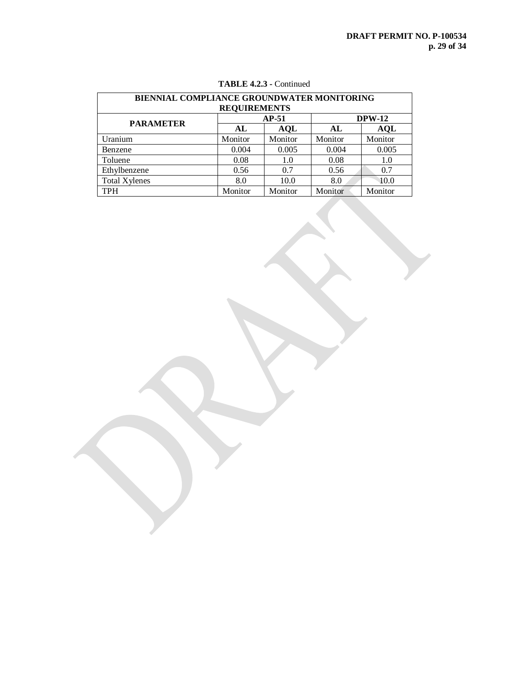| BIENNIAL COMPLIANCE GROUNDWATER MONITORING |         |            |         |               |  |
|--------------------------------------------|---------|------------|---------|---------------|--|
| <b>REQUIREMENTS</b>                        |         |            |         |               |  |
| <b>PARAMETER</b>                           |         | $AP-51$    |         | <b>DPW-12</b> |  |
|                                            | AL      | <b>AQL</b> | AL      | <b>AQL</b>    |  |
| Uranium                                    | Monitor | Monitor    | Monitor | Monitor       |  |
| Benzene                                    | 0.004   | 0.005      | 0.004   | 0.005         |  |
| Toluene                                    | 0.08    | 1.0        | 0.08    | 1.0           |  |
| Ethylbenzene                               | 0.56    | 0.7        | 0.56    | 0.7           |  |
| <b>Total Xylenes</b>                       | 8.0     | 10.0       | 8.0     | 10.0          |  |
| <b>TPH</b>                                 | Monitor | Monitor    | Monitor | Monitor       |  |

# **TABLE 4.2.3 -** Continued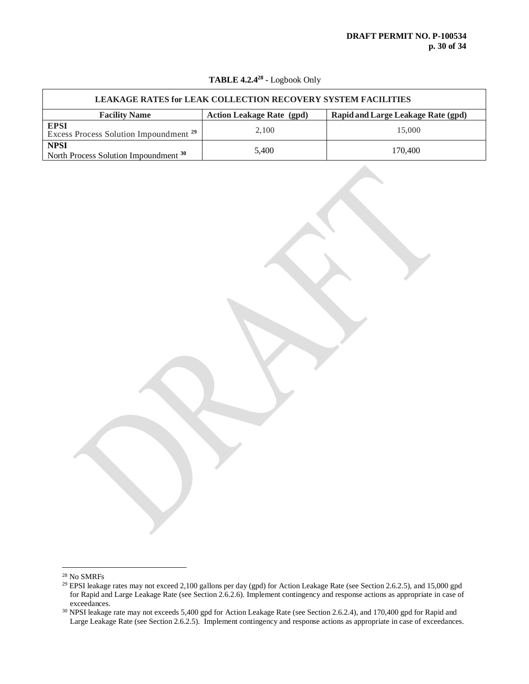| <b>LEAKAGE RATES for LEAK COLLECTION RECOVERY SYSTEM FACILITIES</b> |                                  |                                           |  |
|---------------------------------------------------------------------|----------------------------------|-------------------------------------------|--|
| <b>Facility Name</b>                                                | <b>Action Leakage Rate (gpd)</b> | <b>Rapid and Large Leakage Rate (gpd)</b> |  |
| <b>EPSI</b><br>Excess Process Solution Impoundment <sup>29</sup>    | 2,100                            | 15,000                                    |  |
| <b>NPSI</b><br>North Process Solution Impoundment 30                | 5.400                            | 170,400                                   |  |

### **TABLE 4.2.4<sup>28</sup> -** Logbook Only

 $\overline{a}$ 

 $^\mathrm{28}$  No SMRFs

<sup>&</sup>lt;sup>29</sup> EPSI leakage rates may not exceed 2,100 gallons per day (gpd) for Action Leakage Rate (see Section 2.6.2.5), and 15,000 gpd for Rapid and Large Leakage Rate (see Section 2.6.2.6). Implement contingency and response actions as appropriate in case of exceedances.

<sup>&</sup>lt;sup>30</sup> NPSI leakage rate may not exceeds 5,400 gpd for Action Leakage Rate (see Section 2.6.2.4), and 170,400 gpd for Rapid and Large Leakage Rate (see Section 2.6.2.5). Implement contingency and response actions as appropriate in case of exceedances.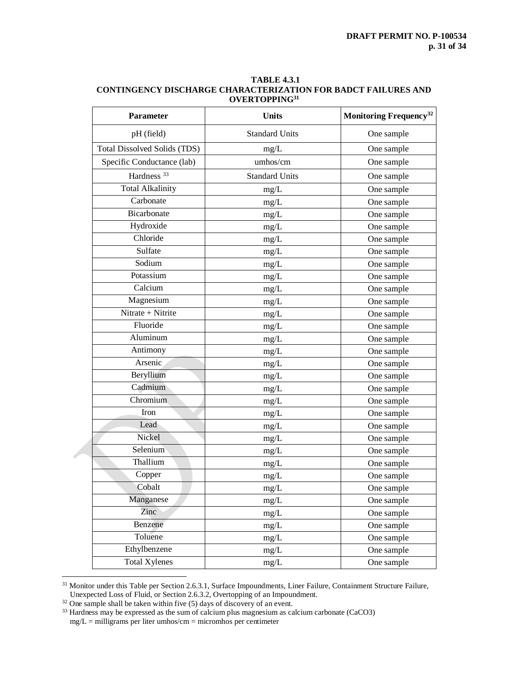| <b>TABLE 4.3.1</b>                                                   |
|----------------------------------------------------------------------|
| <b>CONTINGENCY DISCHARGE CHARACTERIZATION FOR BADCT FAILURES AND</b> |
| OVERTOPPING <sup>31</sup>                                            |

| Parameter                           | <b>Units</b>          | Monitoring Frequency <sup>32</sup> |
|-------------------------------------|-----------------------|------------------------------------|
| pH (field)                          | <b>Standard Units</b> | One sample                         |
| <b>Total Dissolved Solids (TDS)</b> | mg/L                  | One sample                         |
| Specific Conductance (lab)          | umhos/cm              | One sample                         |
| Hardness <sup>33</sup>              | <b>Standard Units</b> | One sample                         |
| <b>Total Alkalinity</b>             | mg/L                  | One sample                         |
| Carbonate                           | mg/L                  | One sample                         |
| Bicarbonate                         | $mg/L$                | One sample                         |
| Hydroxide                           | mg/L                  | One sample                         |
| Chloride                            | mg/L                  | One sample                         |
| Sulfate                             | mg/L                  | One sample                         |
| Sodium                              | mg/L                  | One sample                         |
| Potassium                           | $mg/L$                | One sample                         |
| Calcium                             | mg/L                  | One sample                         |
| Magnesium                           | mg/L                  | One sample                         |
| Nitrate + Nitrite                   | mg/L                  | One sample                         |
| Fluoride                            | mg/L                  | One sample                         |
| Aluminum                            | $mg/L$                | One sample                         |
| Antimony                            | mg/L                  | One sample                         |
| Arsenic                             | mg/L                  | One sample                         |
| Beryllium                           | mg/L                  | One sample                         |
| Cadmium                             | mg/L                  | One sample                         |
| Chromium                            | $mg/L$                | One sample                         |
| Iron                                | mg/L                  | One sample                         |
| Lead                                | mg/L                  | One sample                         |
| Nickel                              | mg/L                  | One sample                         |
| Selenium                            | mg/L                  | One sample                         |
| Thallium                            | mg/L                  | One sample                         |
| Copper                              | mg/L                  | One sample                         |
| Cobalt                              | mg/L                  | One sample                         |
| Manganese                           | mg/L                  | One sample                         |
| Zinc                                | mg/L                  | One sample                         |
| Benzene                             | mg/L                  | One sample                         |
| Toluene                             | mg/L                  | One sample                         |
| Ethylbenzene                        | $mg/L$                | One sample                         |
| <b>Total Xylenes</b>                | mg/L                  | One sample                         |

<sup>&</sup>lt;sup>31</sup> Monitor under this Table per Section 2.6.3.1, Surface Impoundments, Liner Failure, Containment Structure Failure, Unexpected Loss of Fluid, or Section 2.6.3.2, Overtopping of an Impoundment.

 $\overline{a}$ 

 $32$  One sample shall be taken within five (5) days of discovery of an event.

 $33$  Hardness may be expressed as the sum of calcium plus magnesium as calcium carbonate (CaCO3)

 $mg/L =$  milligrams per liter umhos/cm = micromhos per centimeter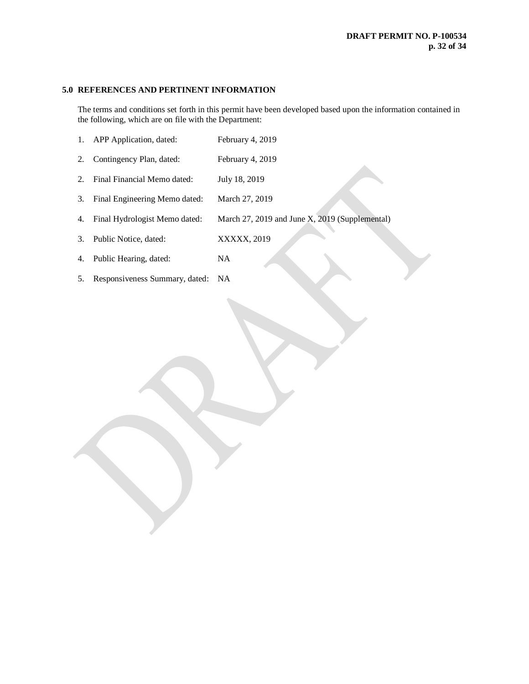# **5.0 REFERENCES AND PERTINENT INFORMATION**

The terms and conditions set forth in this permit have been developed based upon the information contained in the following, which are on file with the Department:

|    | 1. APP Application, dated:        | February 4, 2019                               |
|----|-----------------------------------|------------------------------------------------|
| 2. | Contingency Plan, dated:          | February 4, 2019                               |
| 2. | Final Financial Memo dated:       | July 18, 2019                                  |
| 3. | Final Engineering Memo dated:     | March 27, 2019                                 |
| 4. | Final Hydrologist Memo dated:     | March 27, 2019 and June X, 2019 (Supplemental) |
| 3. | Public Notice, dated:             | XXXXX, 2019                                    |
| 4. | Public Hearing, dated:            | <b>NA</b>                                      |
| 5. | Responsiveness Summary, dated: NA |                                                |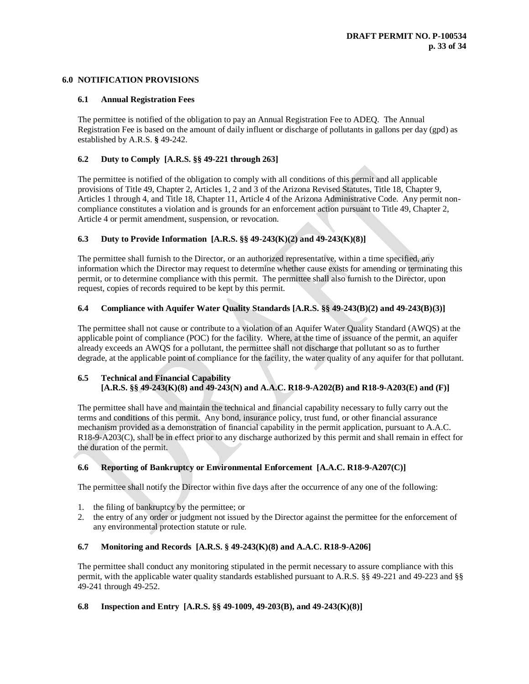## **6.0 NOTIFICATION PROVISIONS**

### **6.1 Annual Registration Fees**

The permittee is notified of the obligation to pay an Annual Registration Fee to ADEQ. The Annual Registration Fee is based on the amount of daily influent or discharge of pollutants in gallons per day (gpd) as established by A.R.S. **§** 49-242.

# **6.2 Duty to Comply [A.R.S. §§ 49-221 through 263]**

The permittee is notified of the obligation to comply with all conditions of this permit and all applicable provisions of Title 49, Chapter 2, Articles 1, 2 and 3 of the Arizona Revised Statutes, Title 18, Chapter 9, Articles 1 through 4, and Title 18, Chapter 11, Article 4 of the Arizona Administrative Code. Any permit noncompliance constitutes a violation and is grounds for an enforcement action pursuant to Title 49, Chapter 2, Article 4 or permit amendment, suspension, or revocation.

# **6.3 Duty to Provide Information [A.R.S. §§ 49-243(K)(2) and 49-243(K)(8)]**

The permittee shall furnish to the Director, or an authorized representative, within a time specified, any information which the Director may request to determine whether cause exists for amending or terminating this permit, or to determine compliance with this permit. The permittee shall also furnish to the Director, upon request, copies of records required to be kept by this permit.

### **6.4 Compliance with Aquifer Water Quality Standards [A.R.S. §§ 49-243(B)(2) and 49-243(B)(3)]**

The permittee shall not cause or contribute to a violation of an Aquifer Water Quality Standard (AWQS) at the applicable point of compliance (POC) for the facility. Where, at the time of issuance of the permit, an aquifer already exceeds an AWQS for a pollutant, the permittee shall not discharge that pollutant so as to further degrade, at the applicable point of compliance for the facility, the water quality of any aquifer for that pollutant.

# **6.5 Technical and Financial Capability [A.R.S. §§ 49-243(K)(8) and 49-243(N) and A.A.C. R18-9-A202(B) and R18-9-A203(E) and (F)]**

The permittee shall have and maintain the technical and financial capability necessary to fully carry out the terms and conditions of this permit. Any bond, insurance policy, trust fund, or other financial assurance mechanism provided as a demonstration of financial capability in the permit application, pursuant to A.A.C. R18-9-A203(C), shall be in effect prior to any discharge authorized by this permit and shall remain in effect for the duration of the permit.

# **6.6 Reporting of Bankruptcy or Environmental Enforcement [A.A.C. R18-9-A207(C)]**

The permittee shall notify the Director within five days after the occurrence of any one of the following:

- 1. the filing of bankruptcy by the permittee; or
- 2. the entry of any order or judgment not issued by the Director against the permittee for the enforcement of any environmental protection statute or rule.

#### **6.7 Monitoring and Records [A.R.S. § 49-243(K)(8) and A.A.C. R18-9-A206]**

The permittee shall conduct any monitoring stipulated in the permit necessary to assure compliance with this permit, with the applicable water quality standards established pursuant to A.R.S. §§ 49-221 and 49-223 and §§ 49-241 through 49-252.

# **6.8 Inspection and Entry [A.R.S. §§ 49-1009, 49-203(B), and 49-243(K)(8)]**